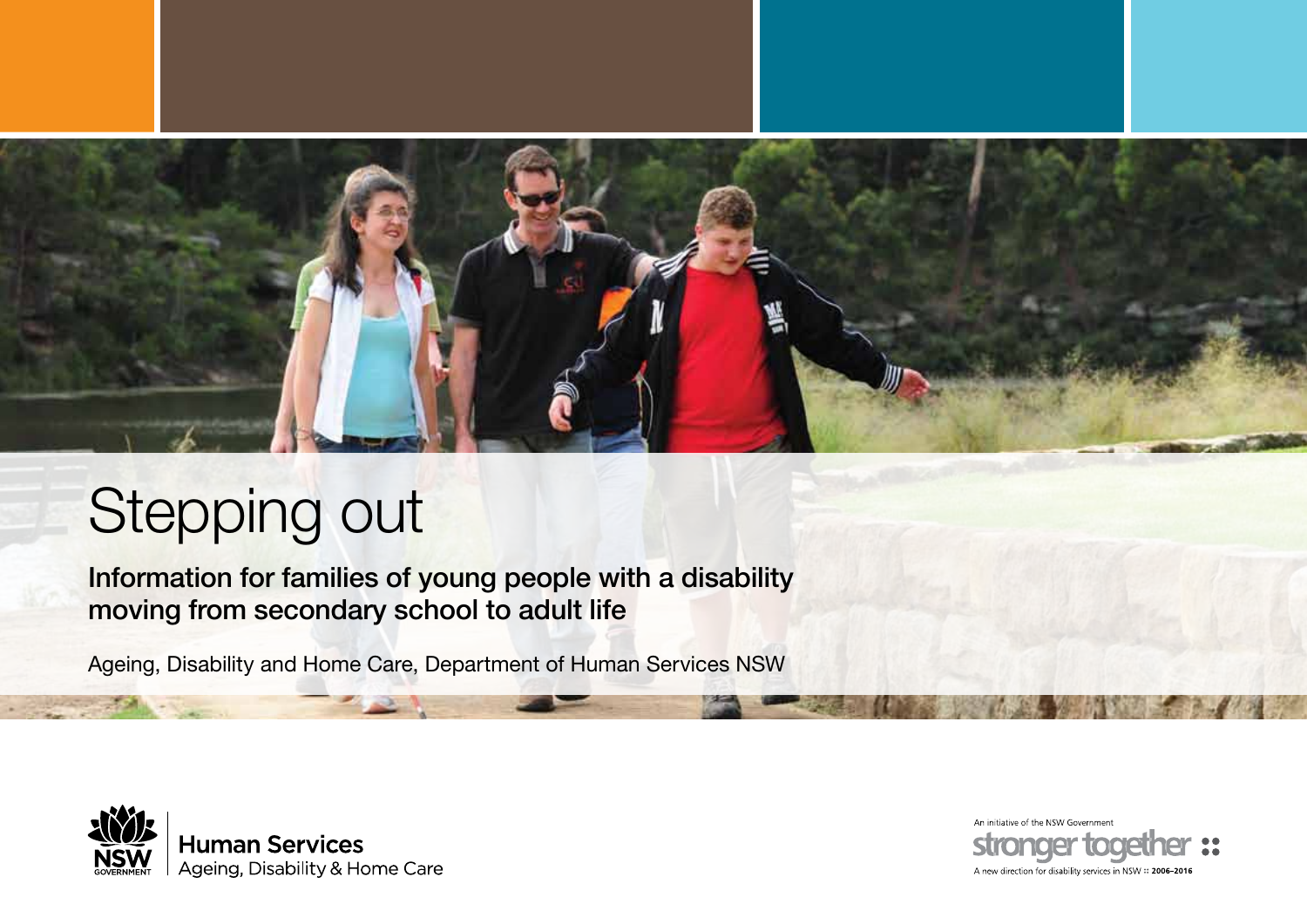

# Stepping out

Information for families of young people with a disability moving from secondary school to adult life

Ageing, Disability and Home Care, Department of Human Services NSW



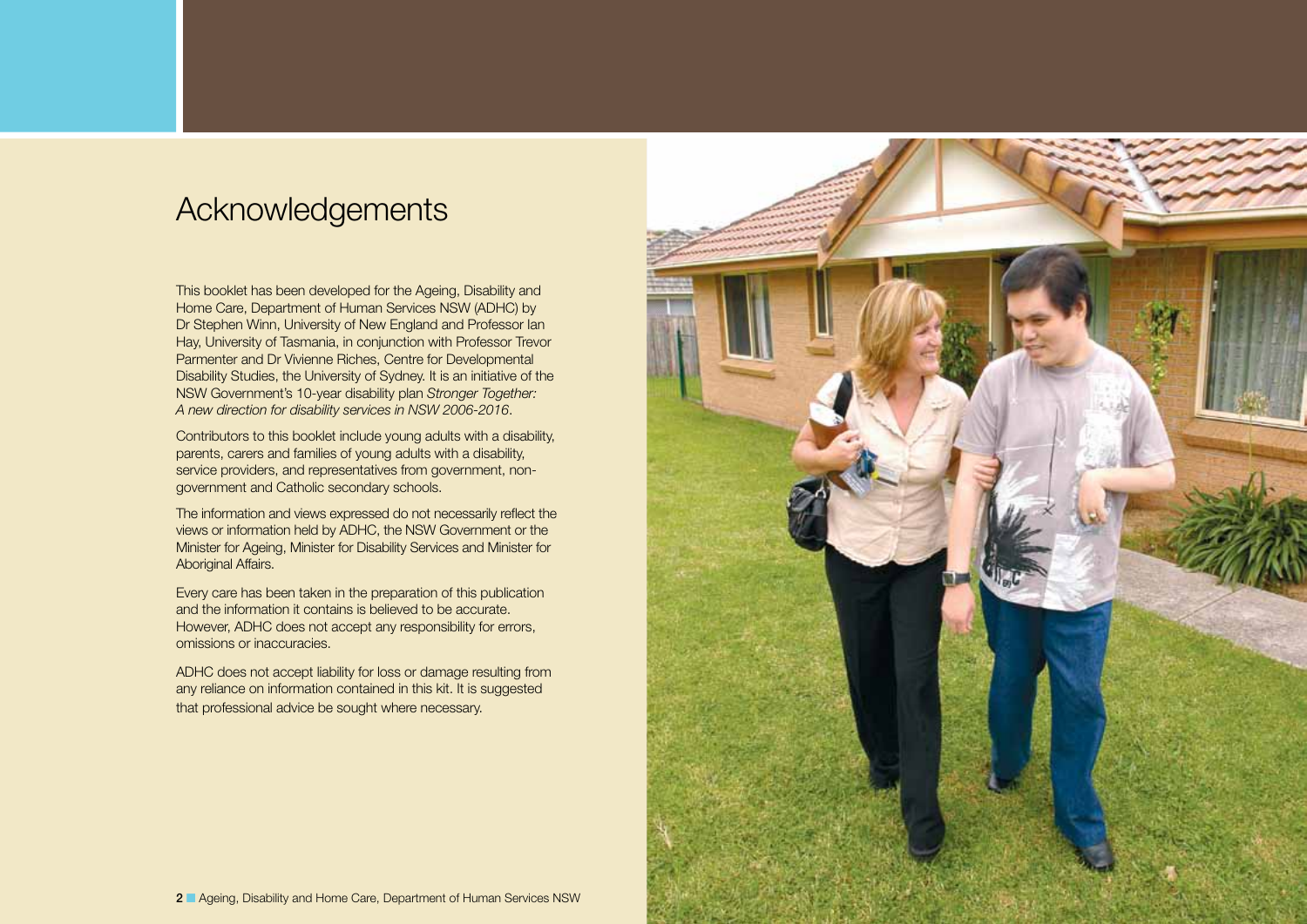## <span id="page-1-0"></span>Acknowledgements

This booklet has been developed for the Ageing, Disability and Home Care, Department of Human Services NSW (ADHC) by Dr Stephen Winn, University of New England and Professor Ian Hay, University of Tasmania, in conjunction with Professor Trevor Parmenter and Dr Vivienne Riches, Centre for Developmental Disability Studies, the University of Sydney. It is an initiative of the NSW Government's 10-year disability plan *Stronger Together: A new direction for disability services in NSW 2006-2016*.

Contributors to this booklet include young adults with a disability, parents, carers and families of young adults with a disability, service providers, and representatives from government, nongovernment and Catholic secondary schools.

The information and views expressed do not necessarily reflect the views or information held by ADHC, the NSW Government or the Minister for Ageing, Minister for Disability Services and Minister for Aboriginal Affairs.

Every care has been taken in the preparation of this publication and the information it contains is believed to be accurate. However, ADHC does not accept any responsibility for errors, omissions or inaccuracies.

ADHC does not accept liability for loss or damage resulting from any reliance on information contained in this kit. It is suggested that professional advice be sought where necessary.

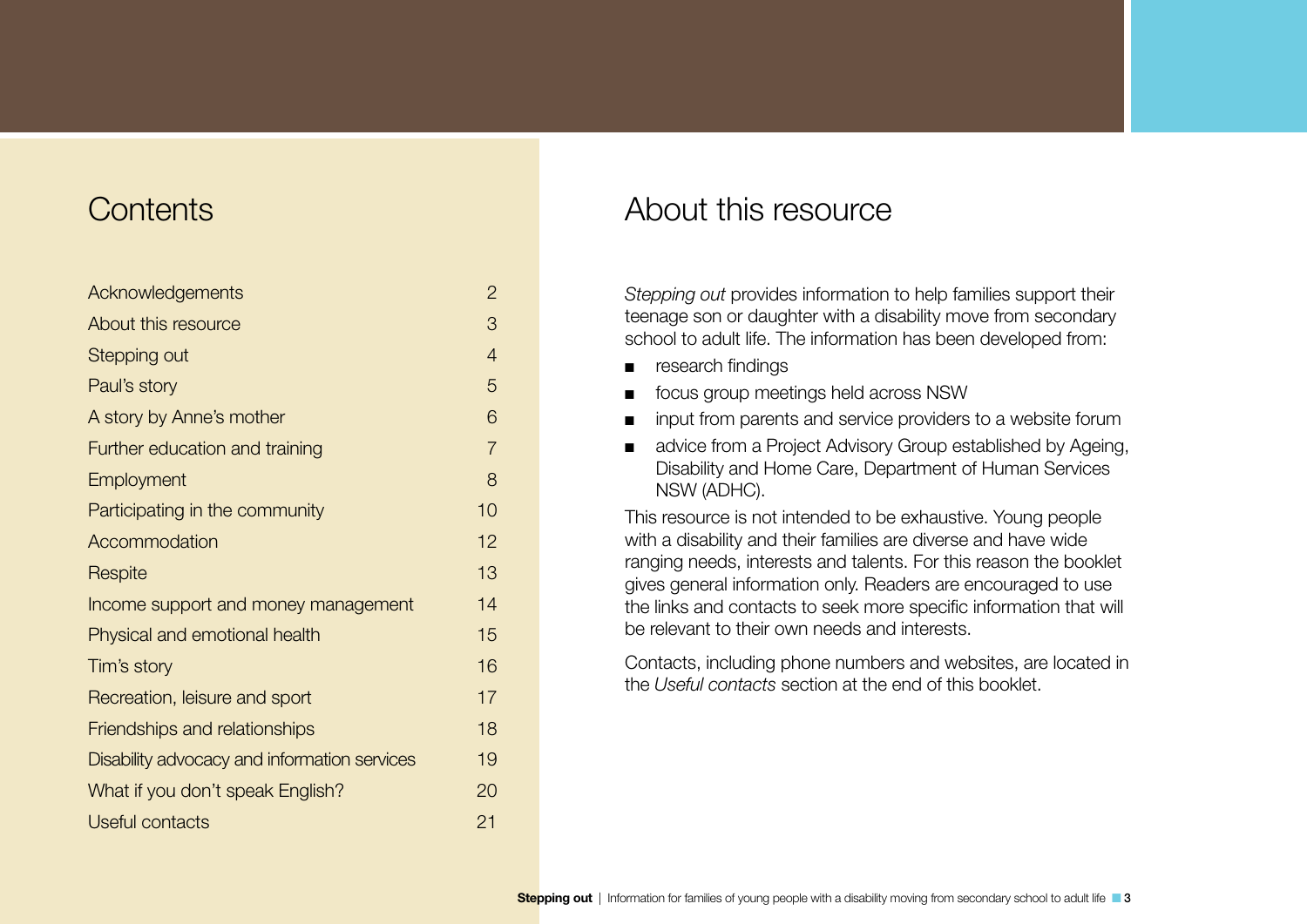## **Contents**

| Acknowledgements                             | $\overline{c}$ |
|----------------------------------------------|----------------|
| About this resource                          | 3              |
| <b>Stepping out</b>                          | $\overline{4}$ |
| Paul's story                                 | 5              |
| A story by Anne's mother                     | 6              |
| Further education and training               | $\overline{7}$ |
| Employment                                   | 8              |
| Participating in the community               | 10             |
| Accommodation                                | 12             |
| Respite                                      | 13             |
| Income support and money management          | 14             |
| Physical and emotional health                | 15             |
| Tim's story                                  | 16             |
| Recreation, leisure and sport                | 17             |
| Friendships and relationships                | 18             |
| Disability advocacy and information services | 19             |
| What if you don't speak English?             | 20             |
| <b>Useful contacts</b>                       | 21             |

## About this resource

*Stepping out* provides information to help families support their teenage son or daughter with a disability move from secondary school to adult life. The information has been developed from:

- research findings
- focus group meetings held across NSW
- input from parents and service providers to a website forum
- advice from a Project Advisory Group established by Ageing, Disability and Home Care, Department of Human Services NSW (ADHC).

This resource is not intended to be exhaustive. Young people with a disability and their families are diverse and have wide ranging needs, interests and talents. For this reason the booklet gives general information only. Readers are encouraged to use the links and contacts to seek more specific information that will be relevant to their own needs and interests.

Contacts, including phone numbers and websites, are located in the *Useful contacts* section at the end of this booklet.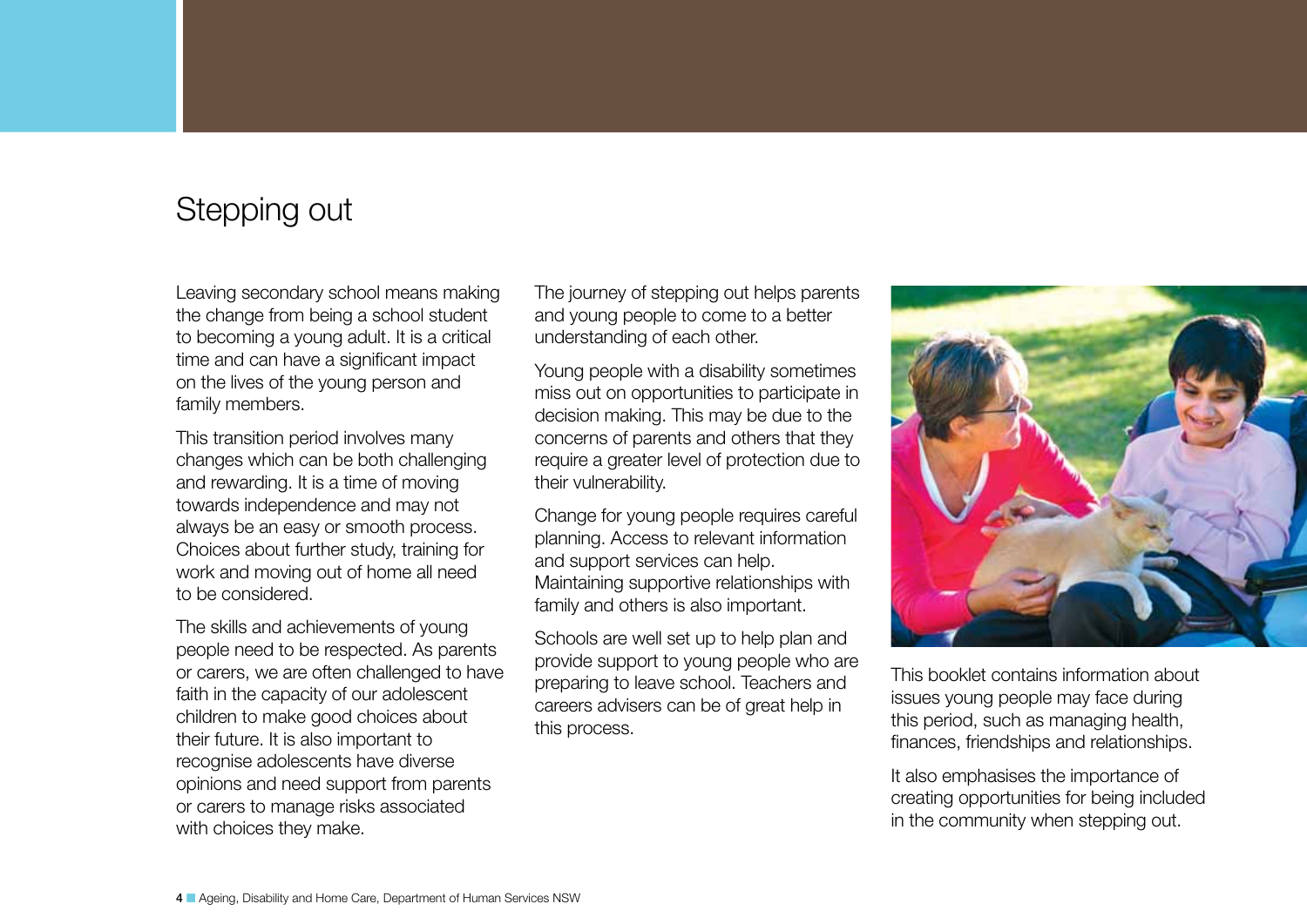## <span id="page-3-0"></span>Stepping out

Leaving secondary school means making the change from being a school student to becoming a young adult. It is a critical time and can have a significant impact on the lives of the young person and family members.

This transition period involves many changes which can be both challenging and rewarding. It is a time of moving towards independence and may not always be an easy or smooth process. Choices about further study, training for work and moving out of home all need to be considered.

The skills and achievements of young people need to be respected. As parents or carers, we are often challenged to have faith in the capacity of our adolescent children to make good choices about their future. It is also important to recognise adolescents have diverse opinions and need support from parents or carers to manage risks associated with choices they make.

The journey of stepping out helps parents and young people to come to a better understanding of each other.

Young people with a disability sometimes miss out on opportunities to participate in decision making. This may be due to the concerns of parents and others that they require a greater level of protection due to their vulnerability.

Change for young people requires careful planning. Access to relevant information and support services can help. Maintaining supportive relationships with family and others is also important.

Schools are well set up to help plan and provide support to young people who are preparing to leave school. Teachers and careers advisers can be of great help in this process.



This booklet contains information about issues young people may face during this period, such as managing health, finances, friendships and relationships.

It also emphasises the importance of creating opportunities for being included in the community when stepping out.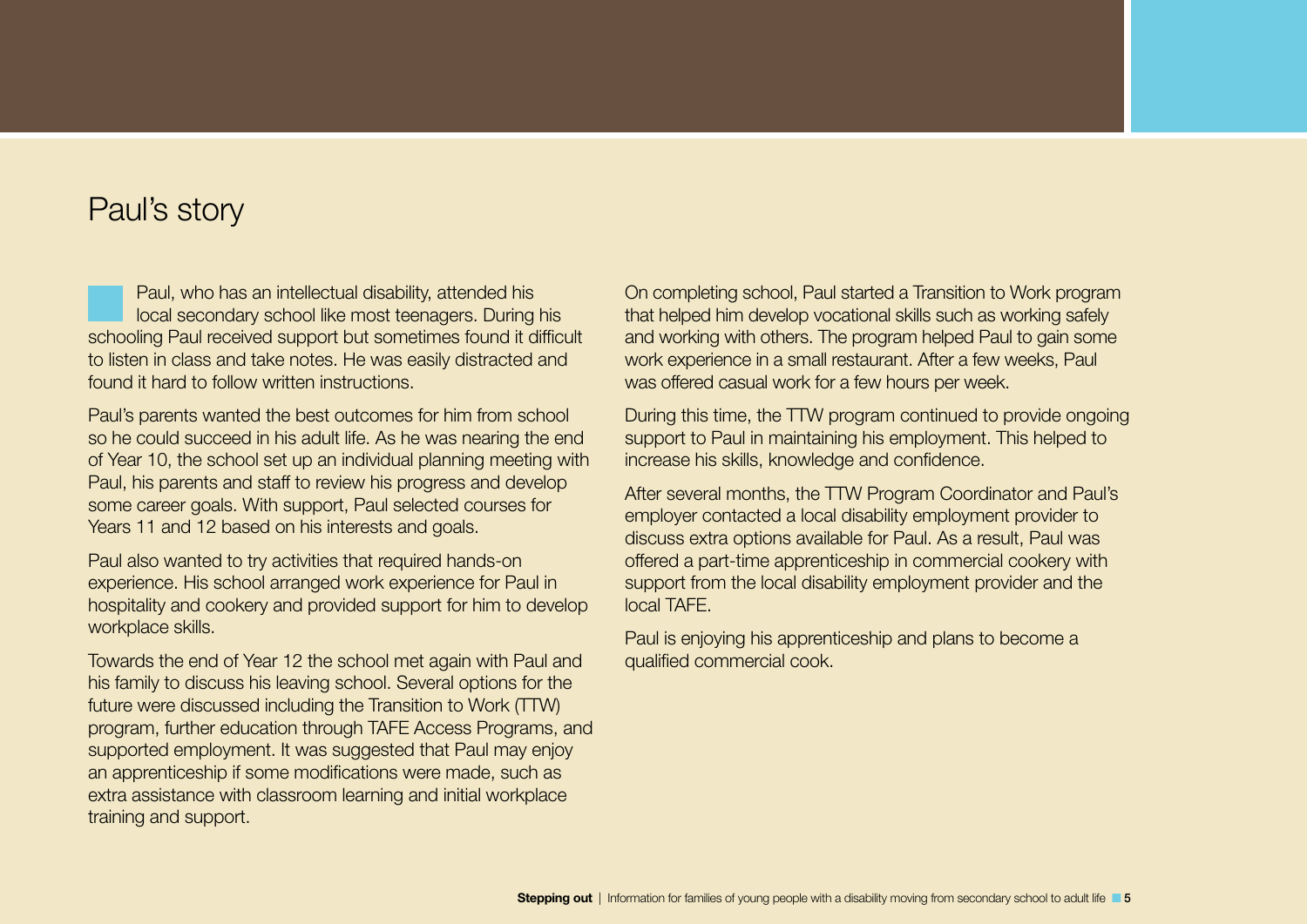## <span id="page-4-0"></span>Paul's story

Paul, who has an intellectual disability, attended his local secondary school like most teenagers. During his schooling Paul received support but sometimes found it difficult to listen in class and take notes. He was easily distracted and found it hard to follow written instructions.

Paul's parents wanted the best outcomes for him from school so he could succeed in his adult life. As he was nearing the end of Year 10, the school set up an individual planning meeting with Paul, his parents and staff to review his progress and develop some career goals. With support, Paul selected courses for Years 11 and 12 based on his interests and goals.

Paul also wanted to try activities that required hands-on experience. His school arranged work experience for Paul in hospitality and cookery and provided support for him to develop workplace skills.

Towards the end of Year 12 the school met again with Paul and his family to discuss his leaving school. Several options for the future were discussed including the Transition to Work (TTW) program, further education through TAFE Access Programs, and supported employment. It was suggested that Paul may enjoy an apprenticeship if some modifications were made, such as extra assistance with classroom learning and initial workplace training and support.

On completing school, Paul started a Transition to Work program that helped him develop vocational skills such as working safely and working with others. The program helped Paul to gain some work experience in a small restaurant. After a few weeks, Paul was offered casual work for a few hours per week.

During this time, the TTW program continued to provide ongoing support to Paul in maintaining his employment. This helped to increase his skills, knowledge and confidence.

After several months, the TTW Program Coordinator and Paul's employer contacted a local disability employment provider to discuss extra options available for Paul. As a result, Paul was offered a part-time apprenticeship in commercial cookery with support from the local disability employment provider and the local TAFE.

Paul is enjoying his apprenticeship and plans to become a qualified commercial cook.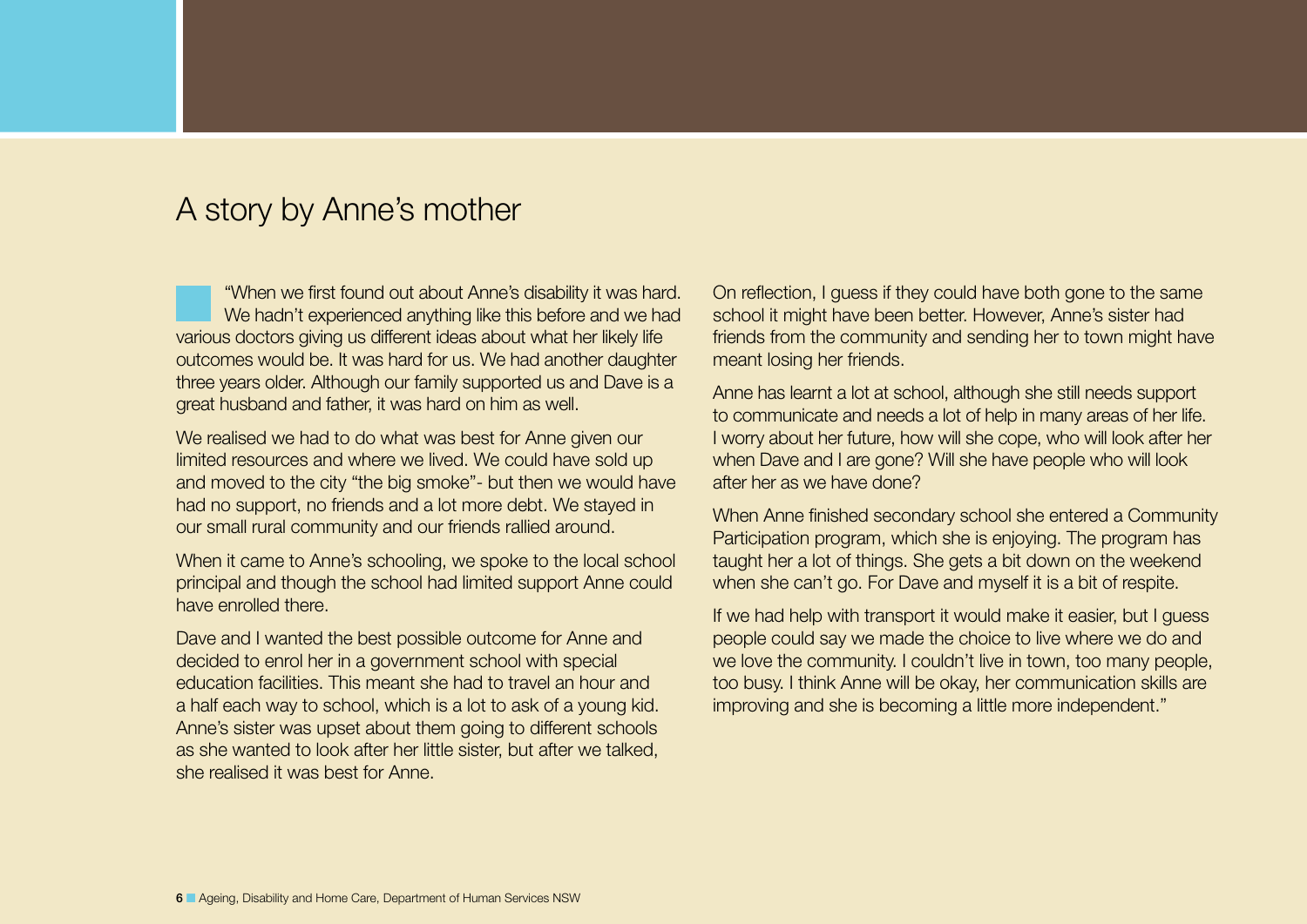## <span id="page-5-0"></span>A story by Anne's mother

"When we first found out about Anne's disability it was hard. We hadn't experienced anything like this before and we had various doctors giving us different ideas about what her likely life outcomes would be. It was hard for us. We had another daughter three years older. Although our family supported us and Dave is a great husband and father, it was hard on him as well.

We realised we had to do what was best for Anne given our limited resources and where we lived. We could have sold up and moved to the city "the big smoke"- but then we would have had no support, no friends and a lot more debt. We stayed in our small rural community and our friends rallied around.

When it came to Anne's schooling, we spoke to the local school principal and though the school had limited support Anne could have enrolled there.

Dave and I wanted the best possible outcome for Anne and decided to enrol her in a government school with special education facilities. This meant she had to travel an hour and a half each way to school, which is a lot to ask of a young kid. Anne's sister was upset about them going to different schools as she wanted to look after her little sister, but after we talked, she realised it was best for Anne.

On reflection, I guess if they could have both gone to the same school it might have been better. However, Anne's sister had friends from the community and sending her to town might have meant losing her friends.

Anne has learnt a lot at school, although she still needs support to communicate and needs a lot of help in many areas of her life. I worry about her future, how will she cope, who will look after her when Dave and I are gone? Will she have people who will look after her as we have done?

When Anne finished secondary school she entered a Community Participation program, which she is enjoying. The program has taught her a lot of things. She gets a bit down on the weekend when she can't go. For Dave and myself it is a bit of respite.

If we had help with transport it would make it easier, but I guess people could say we made the choice to live where we do and we love the community. I couldn't live in town, too many people, too busy. I think Anne will be okay, her communication skills are improving and she is becoming a little more independent."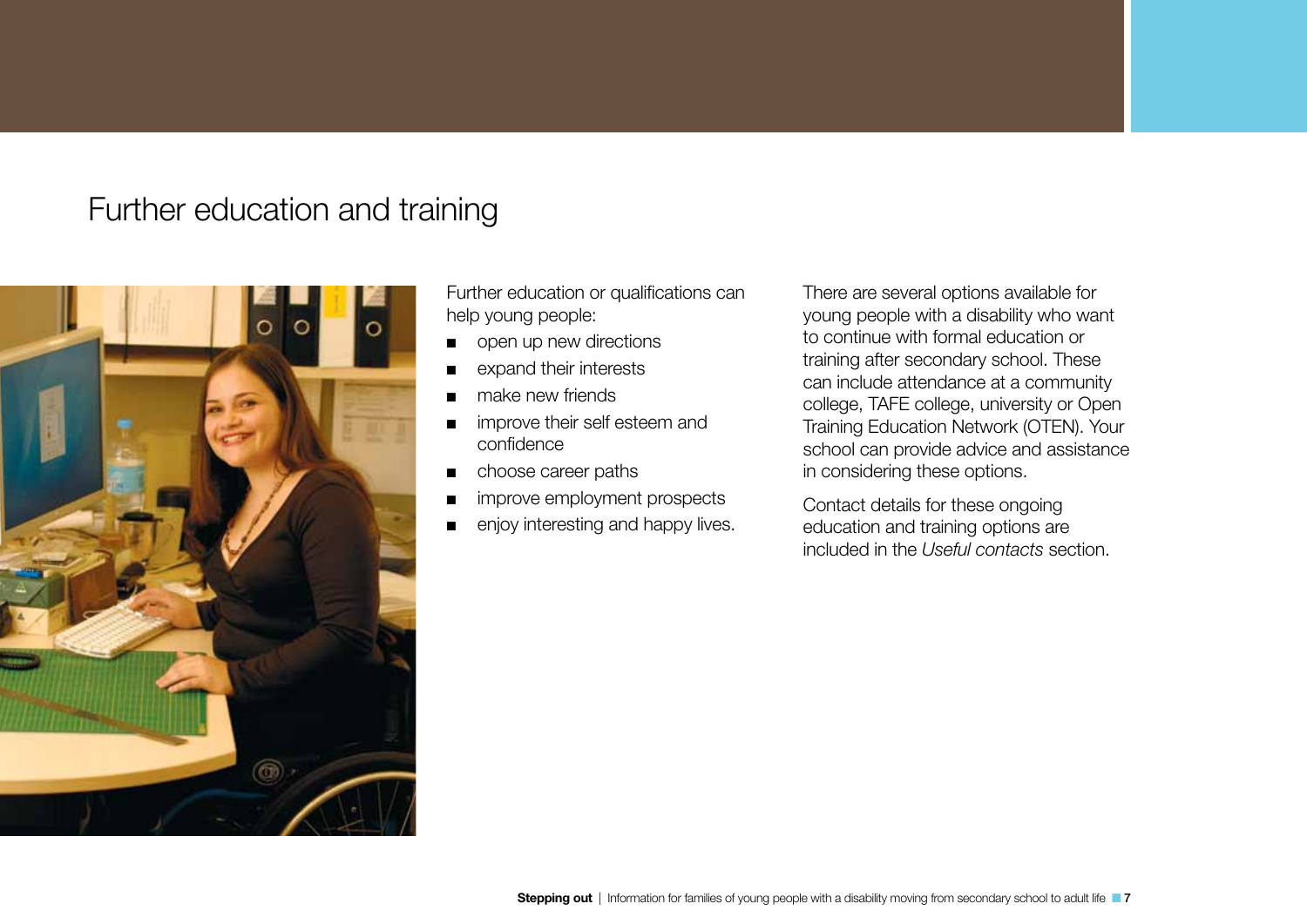## <span id="page-6-0"></span>Further education and training



Further education or qualifications can help young people:

- open up new directions
- expand their interests
- make new friends
- improve their self esteem and confidence
- choose career paths
- improve employment prospects
- enjoy interesting and happy lives.

There are several options available for young people with a disability who want to continue with formal education or training after secondary school. These can include attendance at a community college, TAFE college, university or Open Training Education Network (OTEN). Your school can provide advice and assistance in considering these options.

Contact details for these ongoing education and training options are included in the *Useful contacts* section.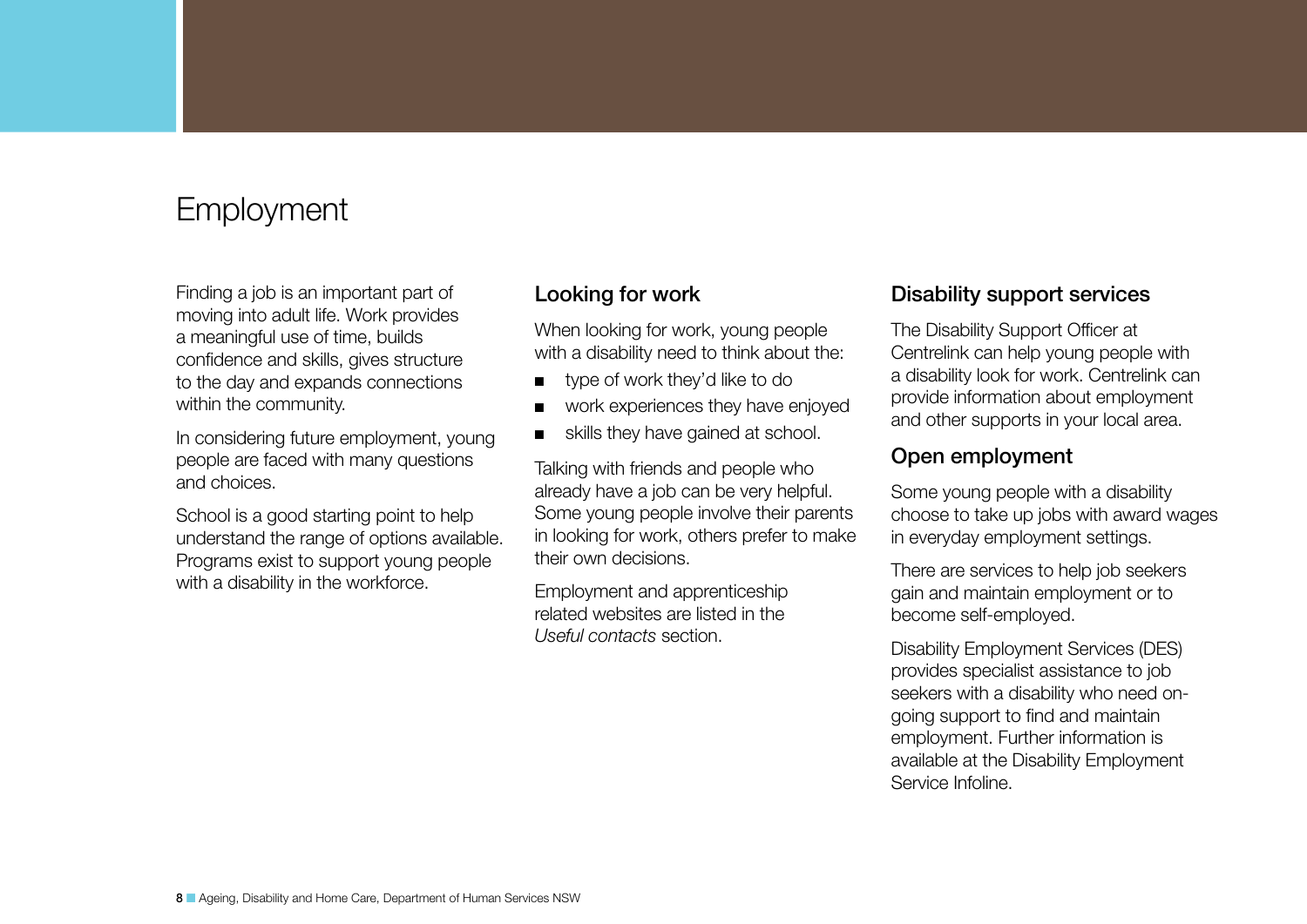## <span id="page-7-0"></span>Employment

Finding a job is an important part of moving into adult life. Work provides a meaningful use of time, builds confidence and skills, gives structure to the day and expands connections within the community.

In considering future employment, young people are faced with many questions and choices.

School is a good starting point to help understand the range of options available. Programs exist to support young people with a disability in the workforce.

### Looking for work

When looking for work, young people with a disability need to think about the:

- type of work they'd like to do
- work experiences they have enjoyed
- skills they have gained at school.

Talking with friends and people who already have a job can be very helpful. Some young people involve their parents in looking for work, others prefer to make their own decisions.

Employment and apprenticeship related websites are listed in the *Useful contacts* section.

### Disability support services

The Disability Support Officer at Centrelink can help young people with a disability look for work. Centrelink can provide information about employment and other supports in your local area.

### Open employment

Some young people with a disability choose to take up jobs with award wages in everyday employment settings.

There are services to help job seekers gain and maintain employment or to become self-employed.

Disability Employment Services (DES) provides specialist assistance to job seekers with a disability who need ongoing support to find and maintain employment. Further information is available at the Disability Employment Service Infoline.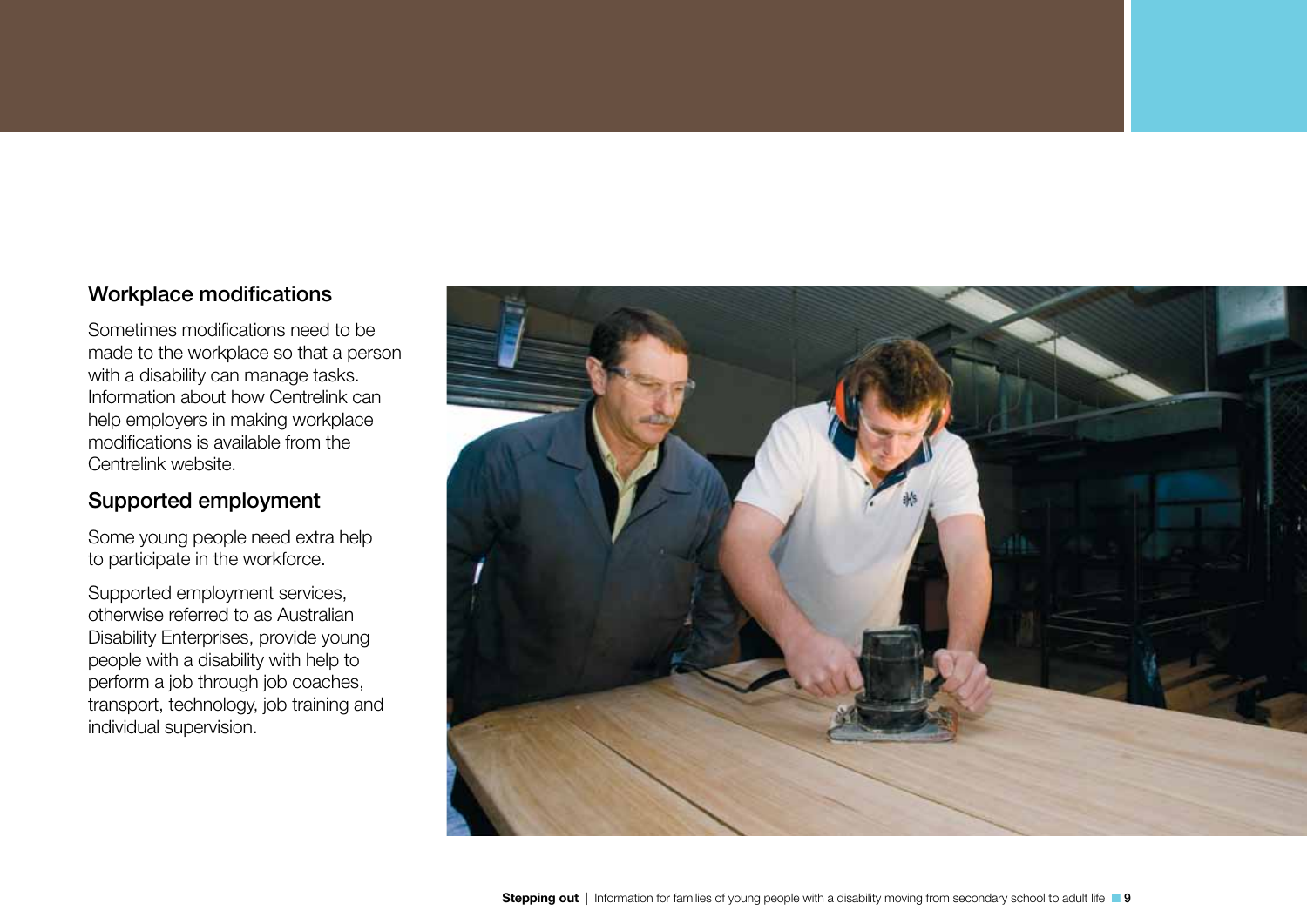### Workplace modifications

Sometimes modifications need to be made to the workplace so that a person with a disability can manage tasks. Information about how Centrelink can help employers in making workplace modifications is available from the Centrelink website.

### Supported employment

Some young people need extra help to participate in the workforce.

Supported employment services, otherwise referred to as Australian Disability Enterprises, provide young people with a disability with help to perform a job through job coaches, transport, technology, job training and individual supervision.

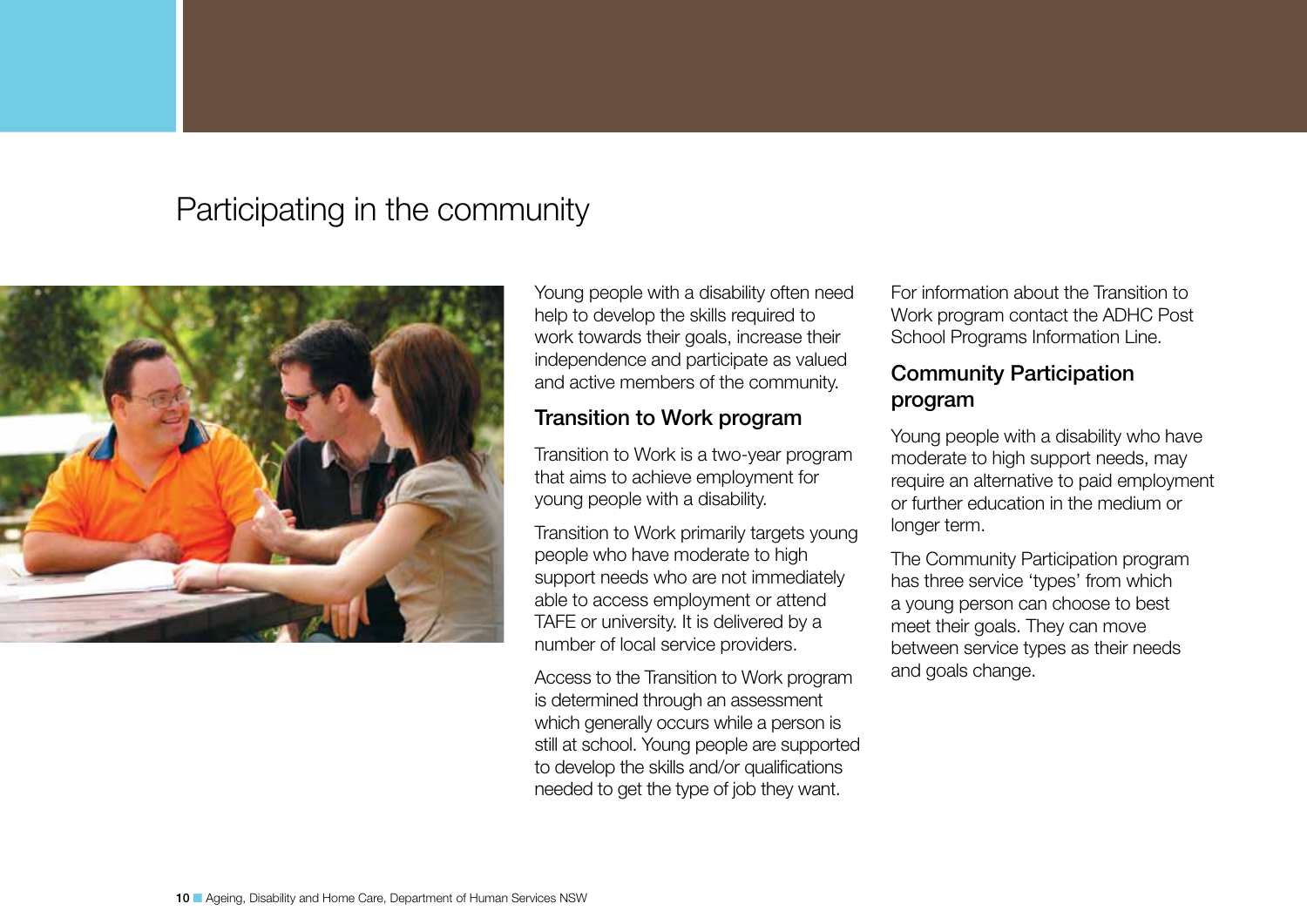## <span id="page-9-0"></span>Participating in the community



Young people with a disability often need help to develop the skills required to work towards their goals, increase their independence and participate as valued and active members of the community.

### Transition to Work program

Transition to Work is a two-year program that aims to achieve employment for young people with a disability.

Transition to Work primarily targets young people who have moderate to high support needs who are not immediately able to access employment or attend TAFE or university. It is delivered by a number of local service providers.

Access to the Transition to Work program is determined through an assessment which generally occurs while a person is still at school. Young people are supported to develop the skills and/or qualifications needed to get the type of job they want.

For information about the Transition to Work program contact the ADHC Post School Programs Information Line.

### Community Participation program

Young people with a disability who have moderate to high support needs, may require an alternative to paid employment or further education in the medium or longer term.

The Community Participation program has three service 'types' from which a young person can choose to best meet their goals. They can move between service types as their needs and goals change.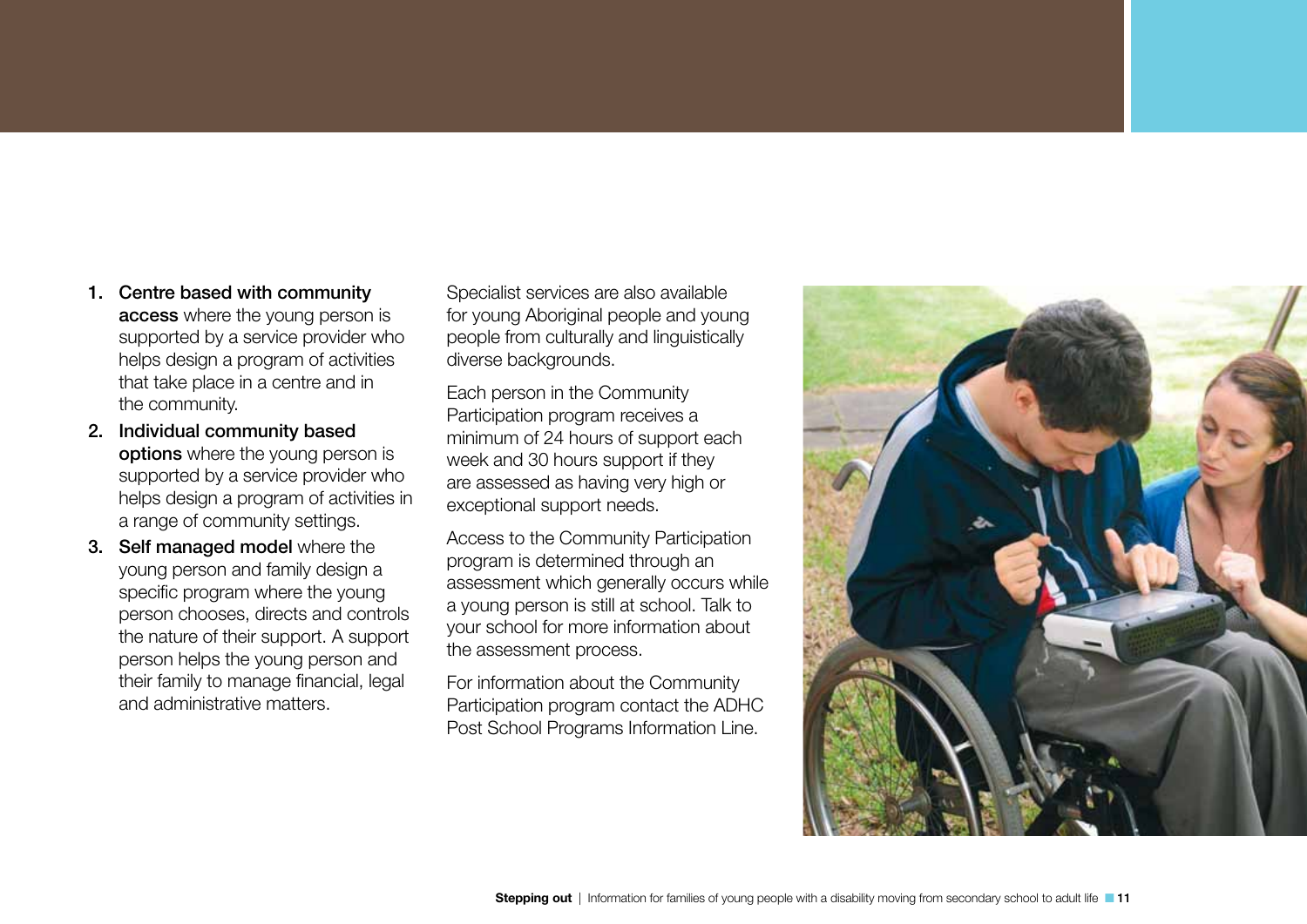- 1. Centre based with community access where the young person is supported by a service provider who helps design a program of activities that take place in a centre and in the community.
- 2. Individual community based options where the young person is supported by a service provider who helps design a program of activities in a range of community settings.
- 3. Self managed model where the young person and family design a specific program where the young person chooses, directs and controls the nature of their support. A support person helps the young person and their family to manage financial, legal and administrative matters.

Specialist services are also available for young Aboriginal people and young people from culturally and linguistically diverse backgrounds.

Each person in the Community Participation program receives a minimum of 24 hours of support each week and 30 hours support if they are assessed as having very high or exceptional support needs.

Access to the Community Participation program is determined through an assessment which generally occurs while a young person is still at school. Talk to your school for more information about the assessment process.

For information about the Community Participation program contact the ADHC Post School Programs Information Line.

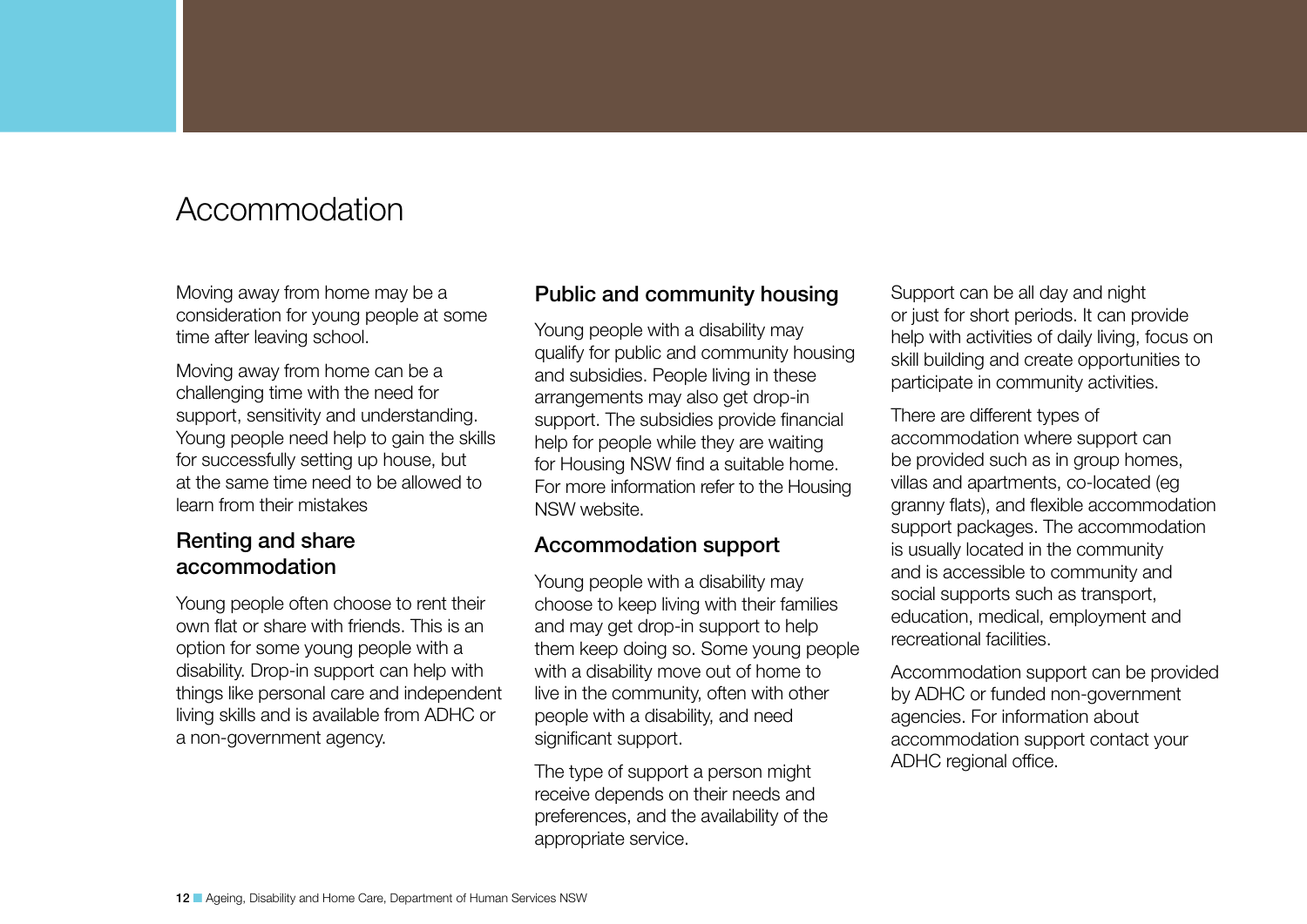## <span id="page-11-0"></span>Accommodation

Moving away from home may be a consideration for young people at some time after leaving school.

Moving away from home can be a challenging time with the need for support, sensitivity and understanding. Young people need help to gain the skills for successfully setting up house, but at the same time need to be allowed to learn from their mistakes

### Renting and share accommodation

Young people often choose to rent their own flat or share with friends. This is an option for some young people with a disability. Drop-in support can help with things like personal care and independent living skills and is available from ADHC or a non-government agency.

### Public and community housing

Young people with a disability may qualify for public and community housing and subsidies. People living in these arrangements may also get drop-in support. The subsidies provide financial help for people while they are waiting for Housing NSW find a suitable home. For more information refer to the Housing NSW website.

### Accommodation support

Young people with a disability may choose to keep living with their families and may get drop-in support to help them keep doing so. Some young people with a disability move out of home to live in the community, often with other people with a disability, and need significant support.

The type of support a person might receive depends on their needs and preferences, and the availability of the appropriate service.

Support can be all day and night or just for short periods. It can provide help with activities of daily living, focus on skill building and create opportunities to participate in community activities.

There are different types of accommodation where support can be provided such as in group homes, villas and apartments, co-located (eg granny flats), and flexible accommodation support packages. The accommodation is usually located in the community and is accessible to community and social supports such as transport, education, medical, employment and recreational facilities.

Accommodation support can be provided by ADHC or funded non-government agencies. For information about accommodation support contact your ADHC regional office.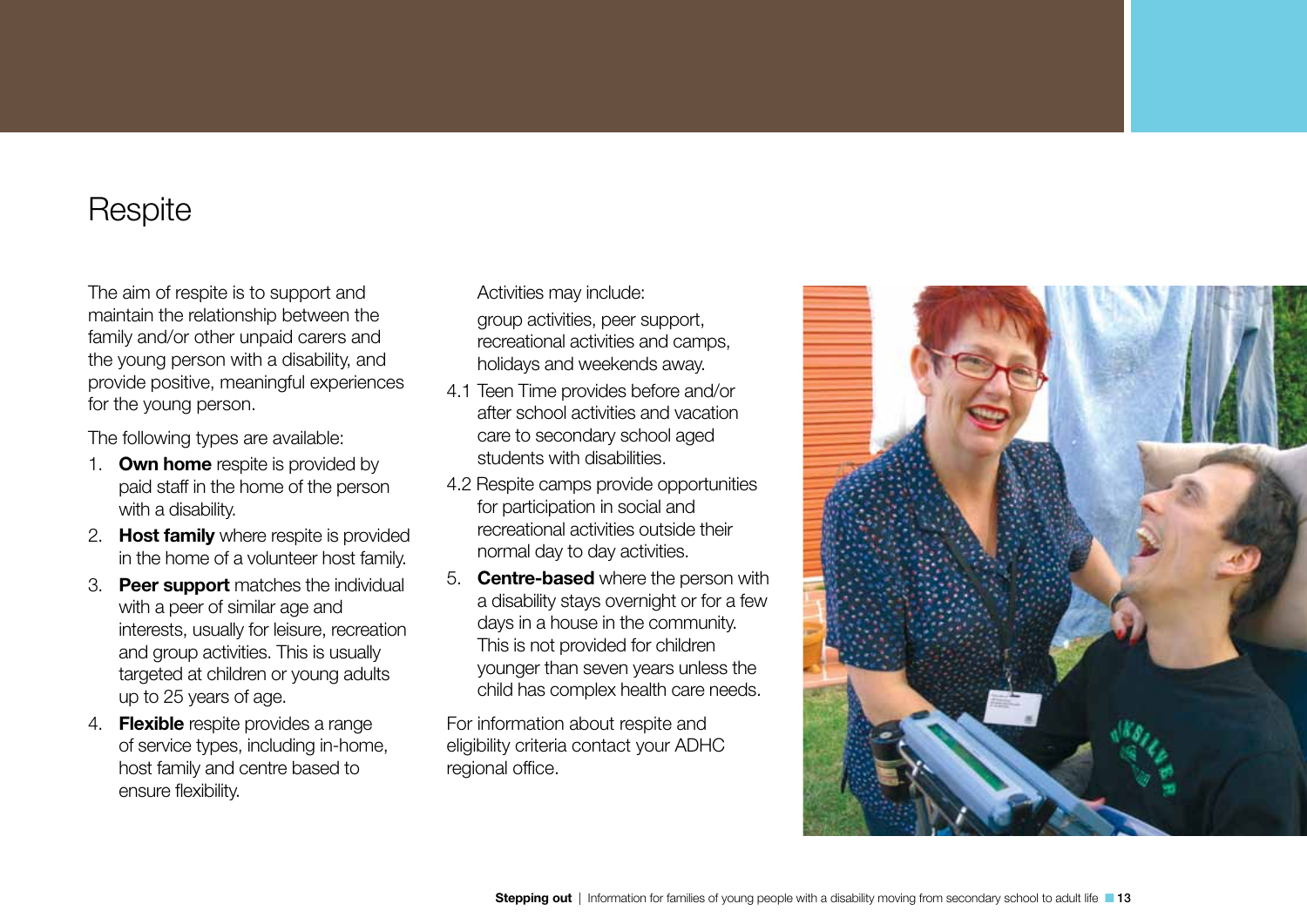## <span id="page-12-0"></span>**Respite**

The aim of respite is to support and maintain the relationship between the family and/or other unpaid carers and the young person with a disability, and provide positive, meaningful experiences for the young person.

The following types are available:

- 1. Own home respite is provided by paid staff in the home of the person with a disability.
- 2. **Host family** where respite is provided in the home of a volunteer host family.
- 3. **Peer support** matches the individual with a peer of similar age and interests, usually for leisure, recreation and group activities. This is usually targeted at children or young adults up to 25 years of age.
- 4. **Flexible** respite provides a range of service types, including in-home, host family and centre based to ensure flexibility.

Activities may include:

group activities, peer support, recreational activities and camps, holidays and weekends away.

- 4.1 Teen Time provides before and/or after school activities and vacation care to secondary school aged students with disabilities.
- 4.2 Respite camps provide opportunities for participation in social and recreational activities outside their normal day to day activities.
- 5. Centre-based where the person with a disability stays overnight or for a few days in a house in the community. This is not provided for children younger than seven years unless the child has complex health care needs.

For information about respite and eligibility criteria contact your ADHC regional office.

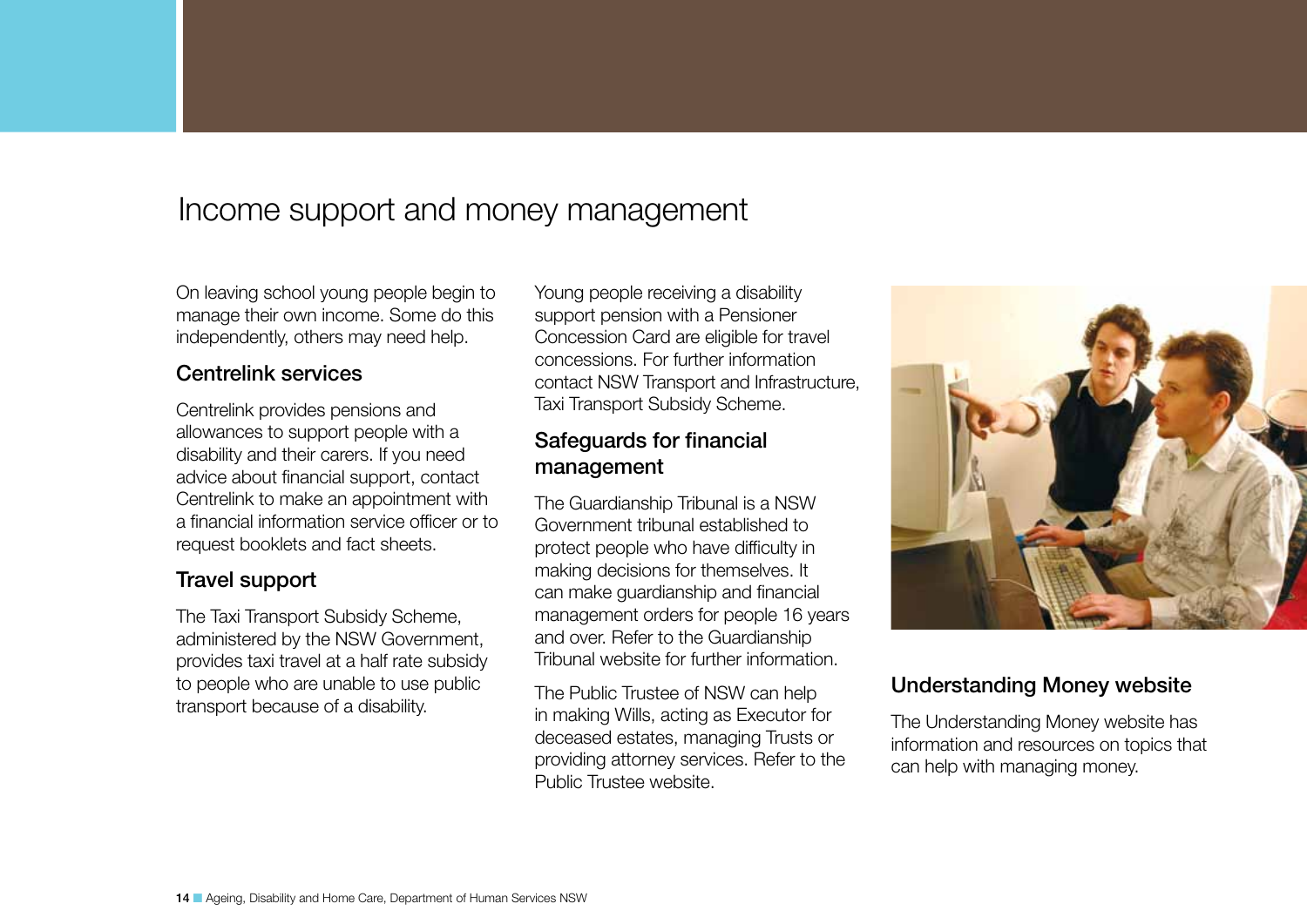## <span id="page-13-0"></span>Income support and money management

On leaving school young people begin to manage their own income. Some do this independently, others may need help.

### Centrelink services

Centrelink provides pensions and allowances to support people with a disability and their carers. If you need advice about financial support, contact Centrelink to make an appointment with a financial information service officer or to request booklets and fact sheets.

### Travel support

The Taxi Transport Subsidy Scheme, administered by the NSW Government, provides taxi travel at a half rate subsidy to people who are unable to use public transport because of a disability.

Young people receiving a disability support pension with a Pensioner Concession Card are eligible for travel concessions. For further information contact NSW Transport and Infrastructure, Taxi Transport Subsidy Scheme.

### Safeguards for financial management

The Guardianship Tribunal is a NSW Government tribunal established to protect people who have difficulty in making decisions for themselves. It can make guardianship and financial management orders for people 16 years and over. Refer to the Guardianship Tribunal website for further information.

The Public Trustee of NSW can help in making Wills, acting as Executor for deceased estates, managing Trusts or providing attorney services. Refer to the Public Trustee website.



### Understanding Money website

The Understanding Money website has information and resources on topics that can help with managing money.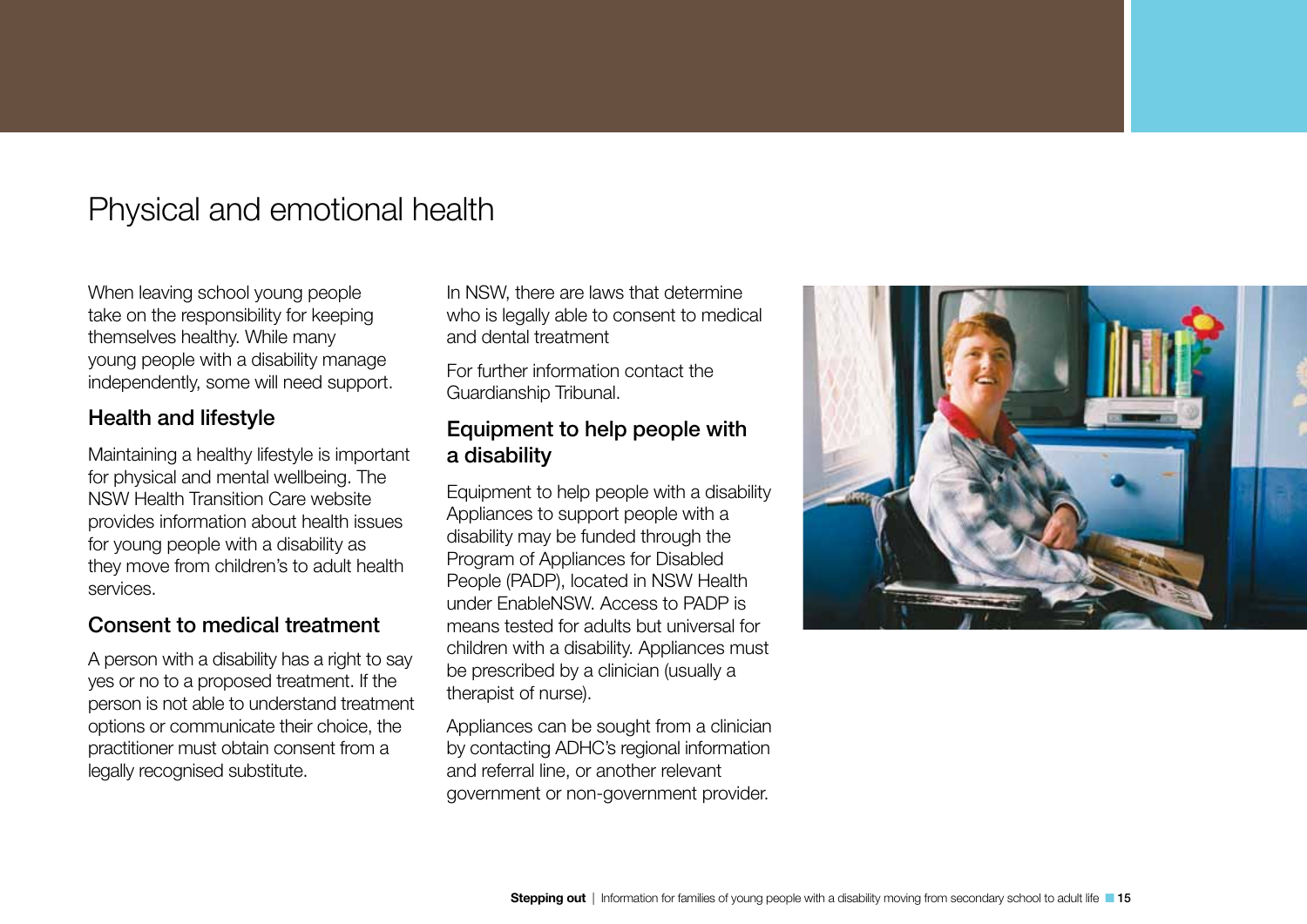## <span id="page-14-0"></span>Physical and emotional health

When leaving school young people take on the responsibility for keeping themselves healthy. While many young people with a disability manage independently, some will need support.

### Health and lifestyle

Maintaining a healthy lifestyle is important for physical and mental wellbeing. The NSW Health Transition Care website provides information about health issues for young people with a disability as they move from children's to adult health services.

### Consent to medical treatment

A person with a disability has a right to say yes or no to a proposed treatment. If the person is not able to understand treatment options or communicate their choice, the practitioner must obtain consent from a legally recognised substitute.

In NSW, there are laws that determine who is legally able to consent to medical and dental treatment

For further information contact the Guardianship Tribunal.

### Equipment to help people with a disability

Equipment to help people with a disability Appliances to support people with a disability may be funded through the Program of Appliances for Disabled People (PADP), located in NSW Health under EnableNSW. Access to PADP is means tested for adults but universal for children with a disability. Appliances must be prescribed by a clinician (usually a therapist of nurse).

Appliances can be sought from a clinician by contacting ADHC's regional information and referral line, or another relevant government or non-government provider.

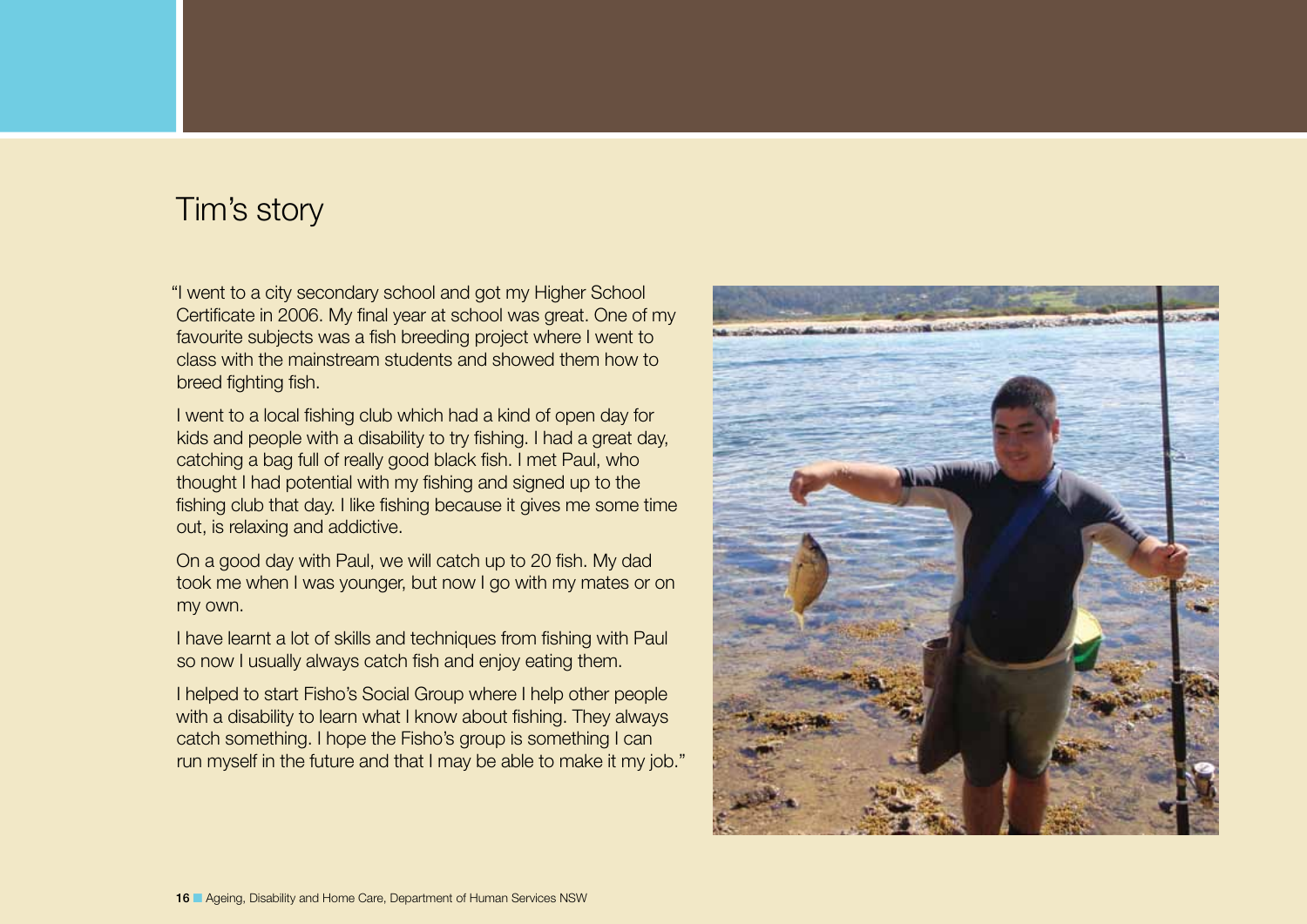## <span id="page-15-0"></span>Tim's story

"I went to a city secondary school and got my Higher School Certificate in 2006. My final year at school was great. One of my favourite subjects was a fish breeding project where I went to class with the mainstream students and showed them how to breed fighting fish.

I went to a local fishing club which had a kind of open day for kids and people with a disability to try fishing. I had a great day, catching a bag full of really good black fish. I met Paul, who thought I had potential with my fishing and signed up to the fishing club that day. I like fishing because it gives me some time out, is relaxing and addictive.

On a good day with Paul, we will catch up to 20 fish. My dad took me when I was younger, but now I go with my mates or on my own.

I have learnt a lot of skills and techniques from fishing with Paul so now I usually always catch fish and enjoy eating them.

I helped to start Fisho's Social Group where I help other people with a disability to learn what I know about fishing. They always catch something. I hope the Fisho's group is something I can run myself in the future and that I may be able to make it my job."

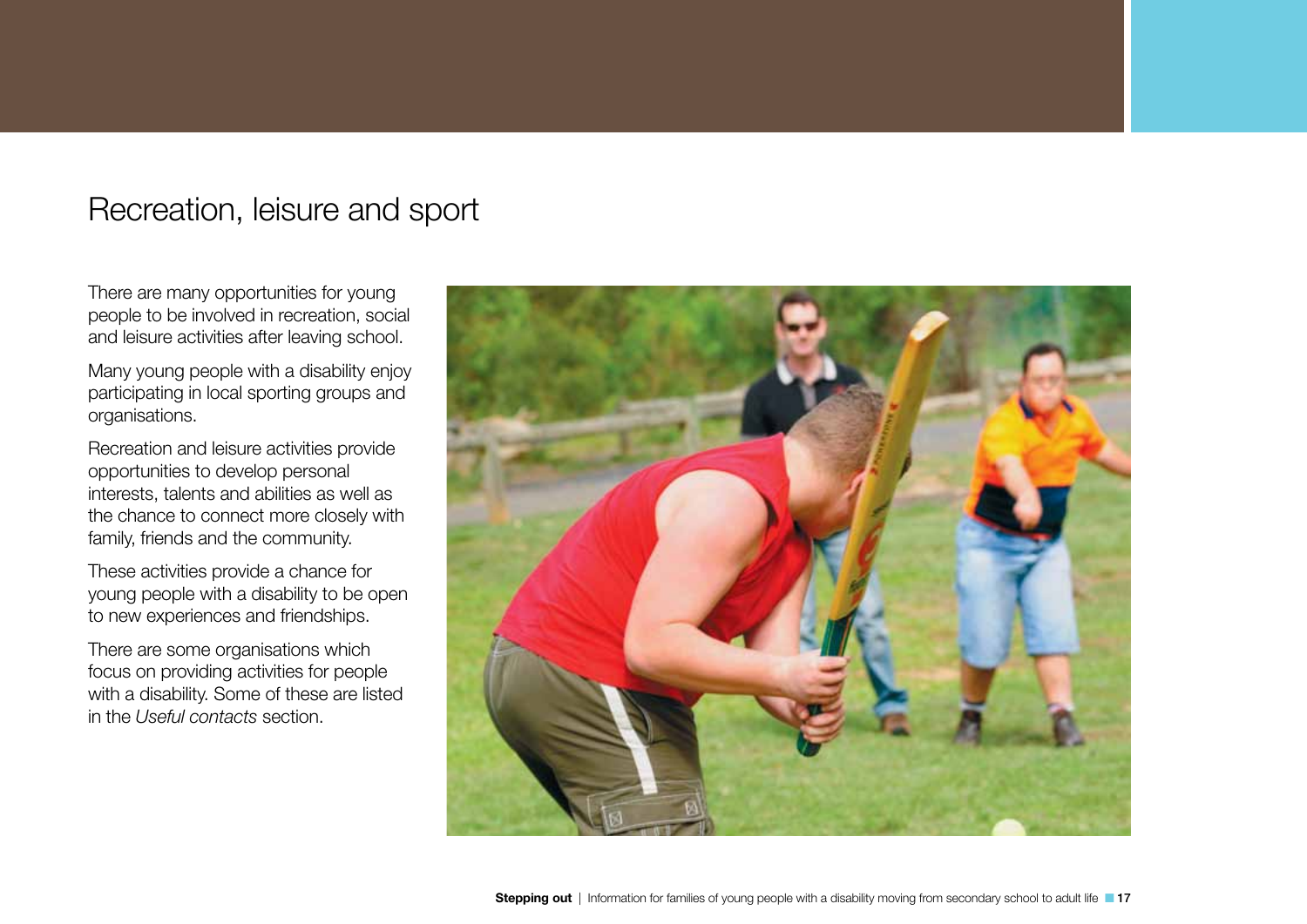## <span id="page-16-0"></span>Recreation, leisure and sport

There are many opportunities for young people to be involved in recreation, social and leisure activities after leaving school.

Many young people with a disability enjoy participating in local sporting groups and organisations.

Recreation and leisure activities provide opportunities to develop personal interests, talents and abilities as well as the chance to connect more closely with family, friends and the community.

These activities provide a chance for young people with a disability to be open to new experiences and friendships.

There are some organisations which focus on providing activities for people with a disability. Some of these are listed in the *Useful contacts* section.

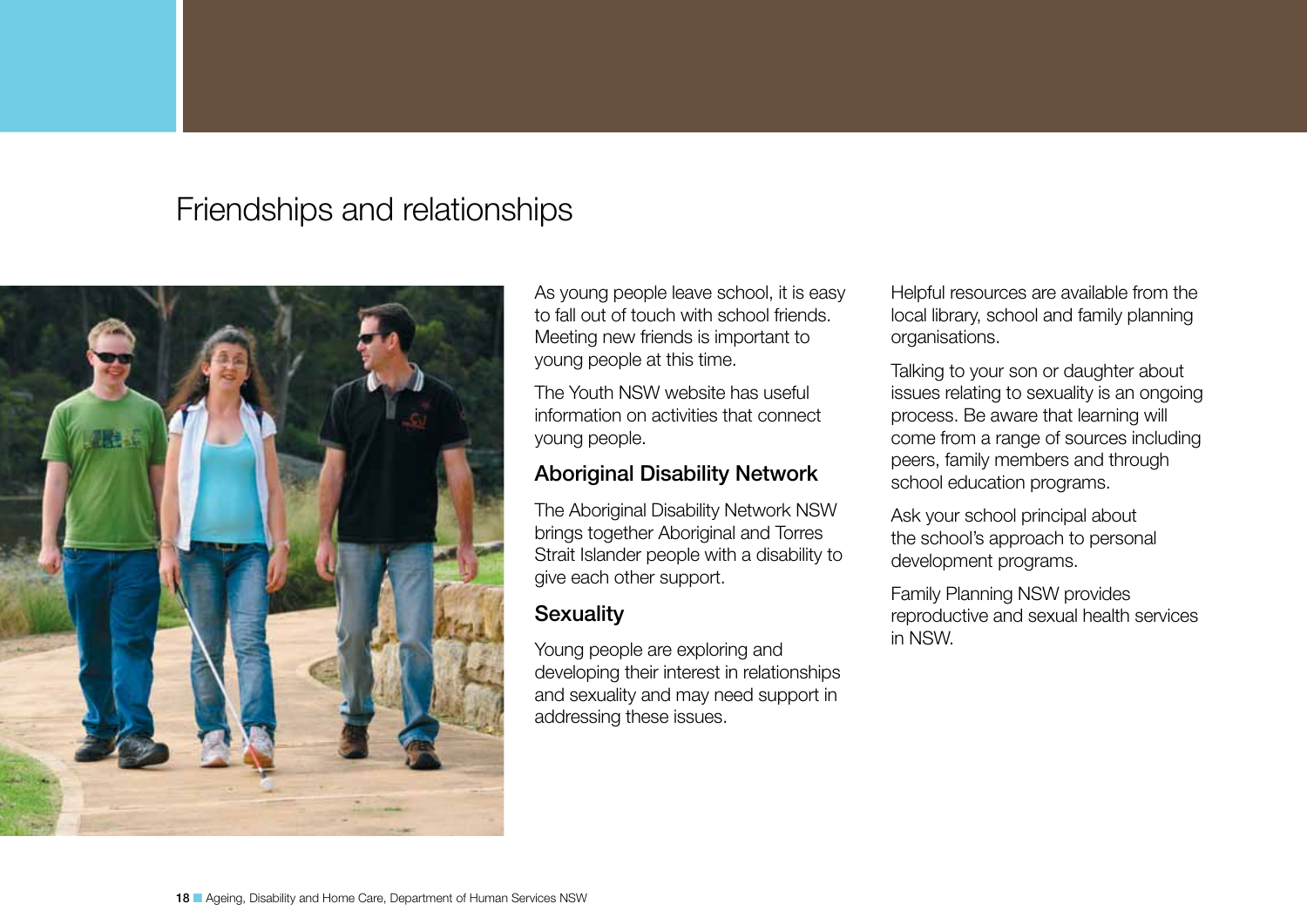## <span id="page-17-0"></span>Friendships and relationships



As young people leave school, it is easy to fall out of touch with school friends. Meeting new friends is important to young people at this time.

The Youth NSW website has useful information on activities that connect young people.

### Aboriginal Disability Network

The Aboriginal Disability Network NSW brings together Aboriginal and Torres Strait Islander people with a disability to give each other support.

### **Sexuality**

Young people are exploring and developing their interest in relationships and sexuality and may need support in addressing these issues.

Helpful resources are available from the local library, school and family planning organisations.

Talking to your son or daughter about issues relating to sexuality is an ongoing process. Be aware that learning will come from a range of sources including peers, family members and through school education programs.

Ask your school principal about the school's approach to personal development programs.

Family Planning NSW provides reproductive and sexual health services in NSW.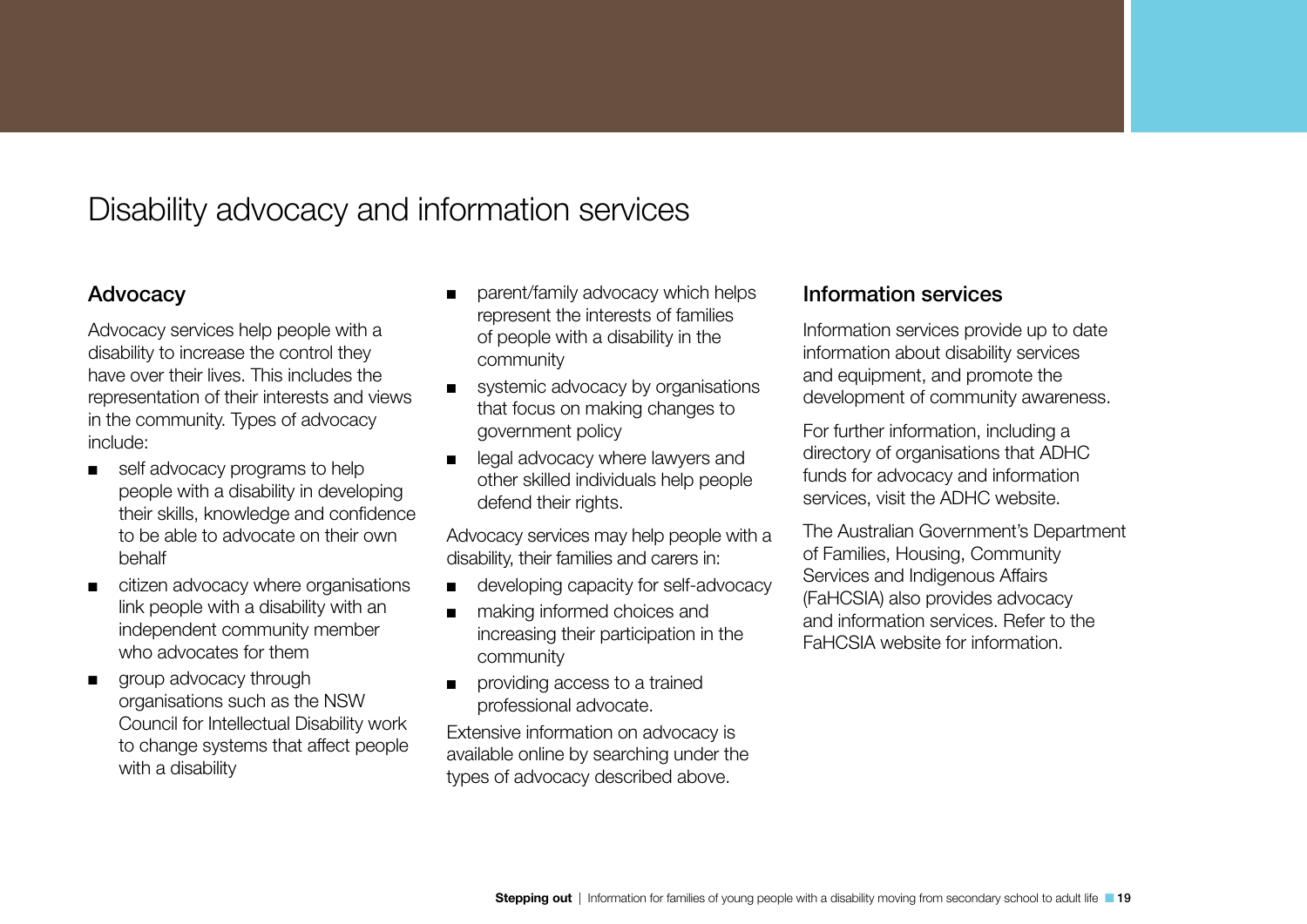## <span id="page-18-0"></span>Disability advocacy and information services

### Advocacy

Advocacy services help people with a disability to increase the control they have over their lives. This includes the representation of their interests and views in the community. Types of advocacy include:

- self advocacy programs to help people with a disability in developing their skills, knowledge and confidence to be able to advocate on their own behalf
- citizen advocacy where organisations link people with a disability with an independent community member who advocates for them
- group advocacy through organisations such as the NSW Council for Intellectual Disability work to change systems that affect people with a disability
- parent/family advocacy which helps represent the interests of families of people with a disability in the community
- systemic advocacy by organisations that focus on making changes to government policy
- legal advocacy where lawyers and other skilled individuals help people defend their rights.

Advocacy services may help people with a disability, their families and carers in:

- developing capacity for self-advocacy
- making informed choices and increasing their participation in the community
- providing access to a trained professional advocate.

Extensive information on advocacy is available online by searching under the types of advocacy described above.

### Information services

Information services provide up to date information about disability services and equipment, and promote the development of community awareness.

For further information, including a directory of organisations that ADHC funds for advocacy and information services, visit the ADHC website.

The Australian Government's Department of Families, Housing, Community Services and Indigenous Affairs (FaHCSIA) also provides advocacy and information services. Refer to the FaHCSIA website for information.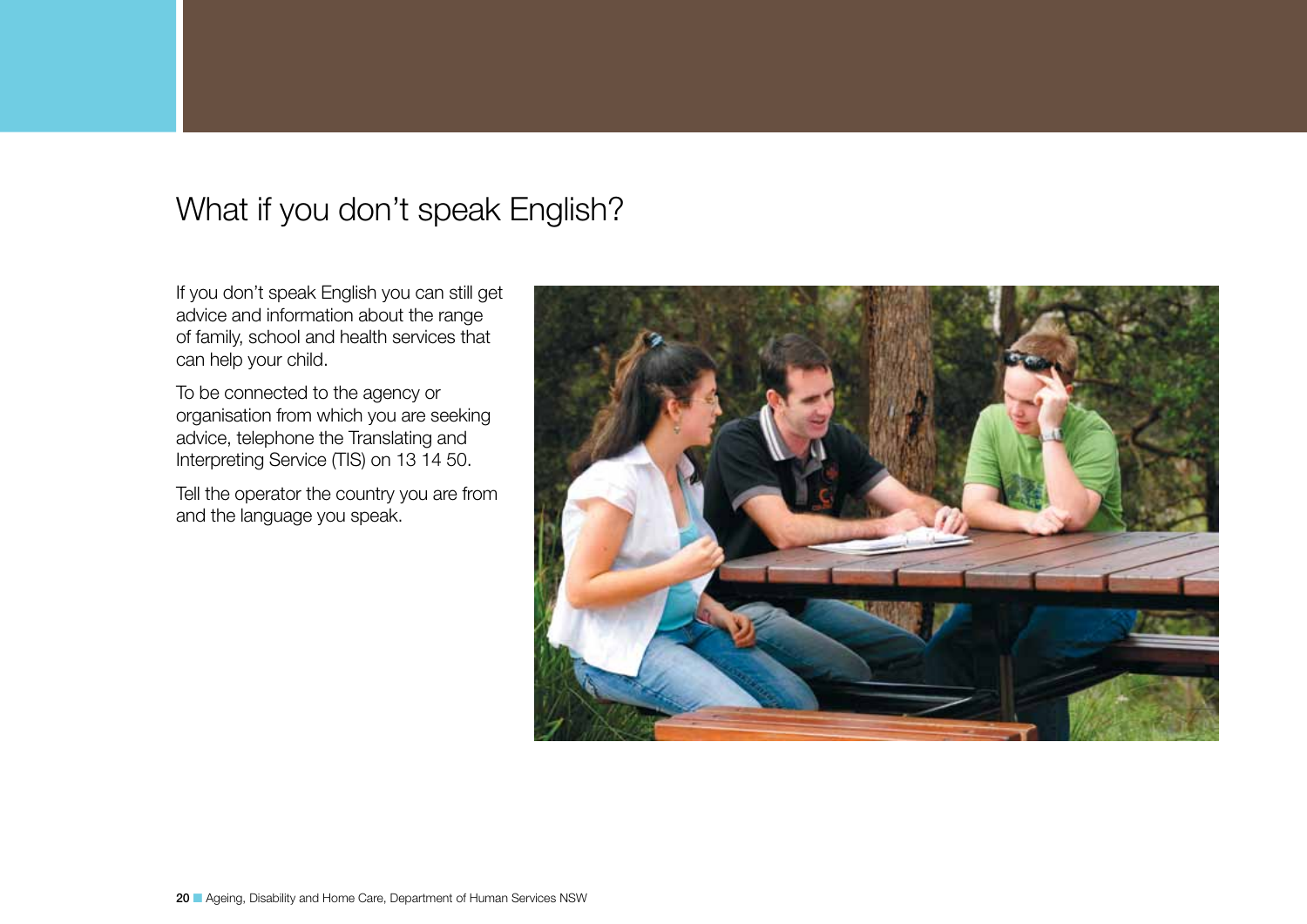## <span id="page-19-0"></span>What if you don't speak English?

If you don't speak English you can still get advice and information about the range of family, school and health services that can help your child.

To be connected to the agency or organisation from which you are seeking advice, telephone the Translating and Interpreting Service (TIS) on 13 14 50.

Tell the operator the country you are from and the language you speak.

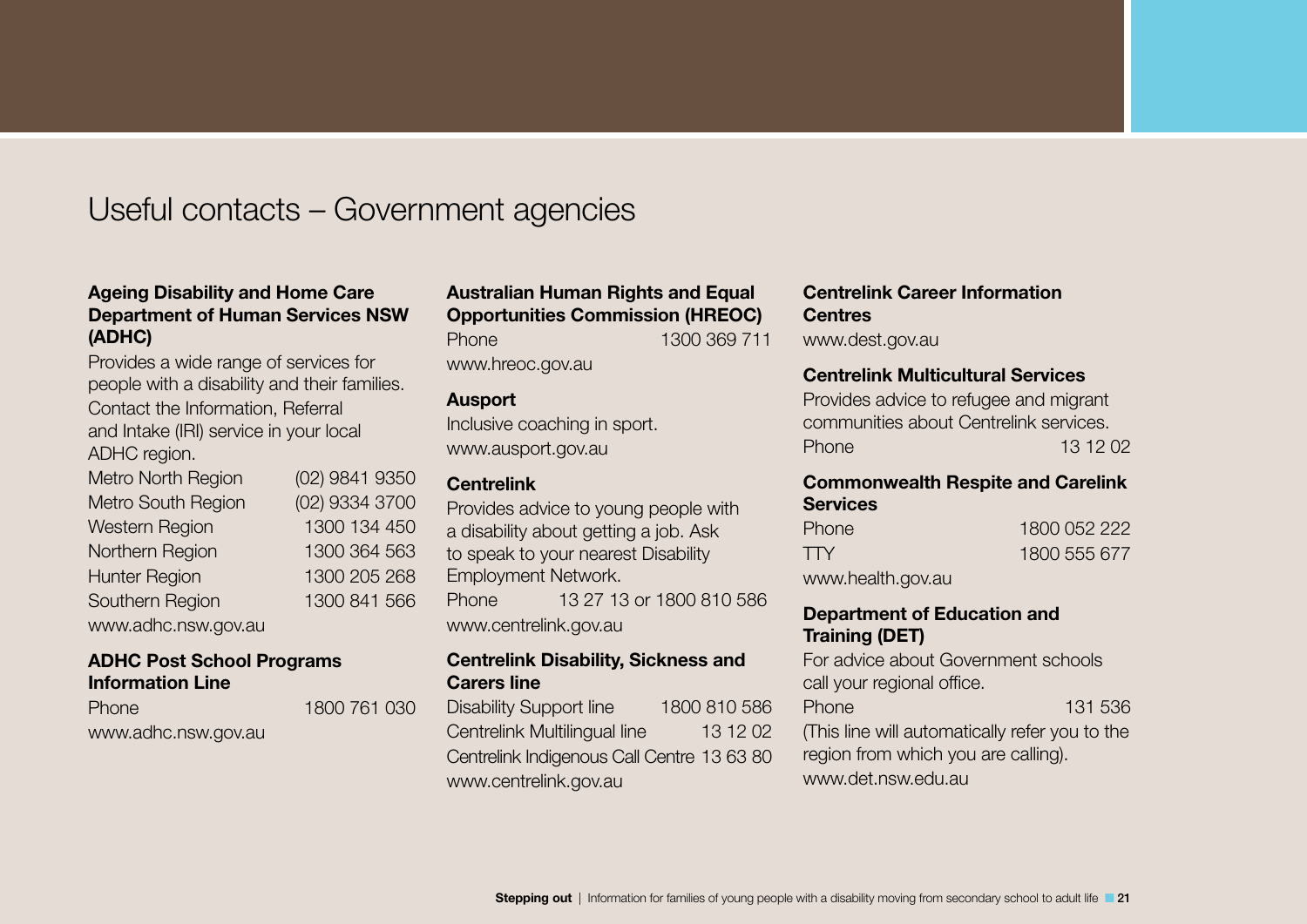## <span id="page-20-0"></span>Useful contacts – Government agencies

### Ageing Disability and Home Care Department of Human Services NSW (ADHC)

Provides a wide range of services for people with a disability and their families. Contact the Information, Referral and Intake (IRI) service in your local ADHC region.

| Metro North Region   | (02) 9841 9350 |
|----------------------|----------------|
| Metro South Region   | (02) 9334 3700 |
| Western Region       | 1300 134 450   |
| Northern Region      | 1300 364 563   |
| <b>Hunter Region</b> | 1300 205 268   |
| Southern Region      | 1300 841 566   |
| www.adhc.nsw.gov.au  |                |

### ADHC Post School Programs Information Line

Phone 1800 761 030 www.adhc.nsw.gov.au

### Australian Human Rights and Equal Opportunities Commission (HREOC)

Phone 1300 369 711

www.hreoc.gov.au

### Ausport

Inclusive coaching in sport. www.ausport.gov.au

### **Centrelink**

Provides advice to young people with a disability about getting a job. Ask to speak to your nearest Disability Employment Network. Phone 13 27 13 or 1800 810 586 www.centrelink.gov.au

### Centrelink Disability, Sickness and Carers line

Disability Support line 1800 810 586 Centrelink Multilingual line 13 12 02 Centrelink Indigenous Call Centre 13 63 80 www.centrelink.gov.au

Centrelink Career Information **Centres** 

www.dest.gov.au

### Centrelink Multicultural Services

Provides advice to refugee and migrant communities about Centrelink services. Phone 13 12 02

### Commonwealth Respite and Carelink **Services**

| Phone | 1800 052 222 |
|-------|--------------|
| ТTY   | 1800 555 677 |
|       |              |

www.health.gov.au

### Department of Education and Training (DET)

For advice about Government schools call your regional office. Phone 131 536 (This line will automatically refer you to the region from which you are calling). www.det.nsw.edu.au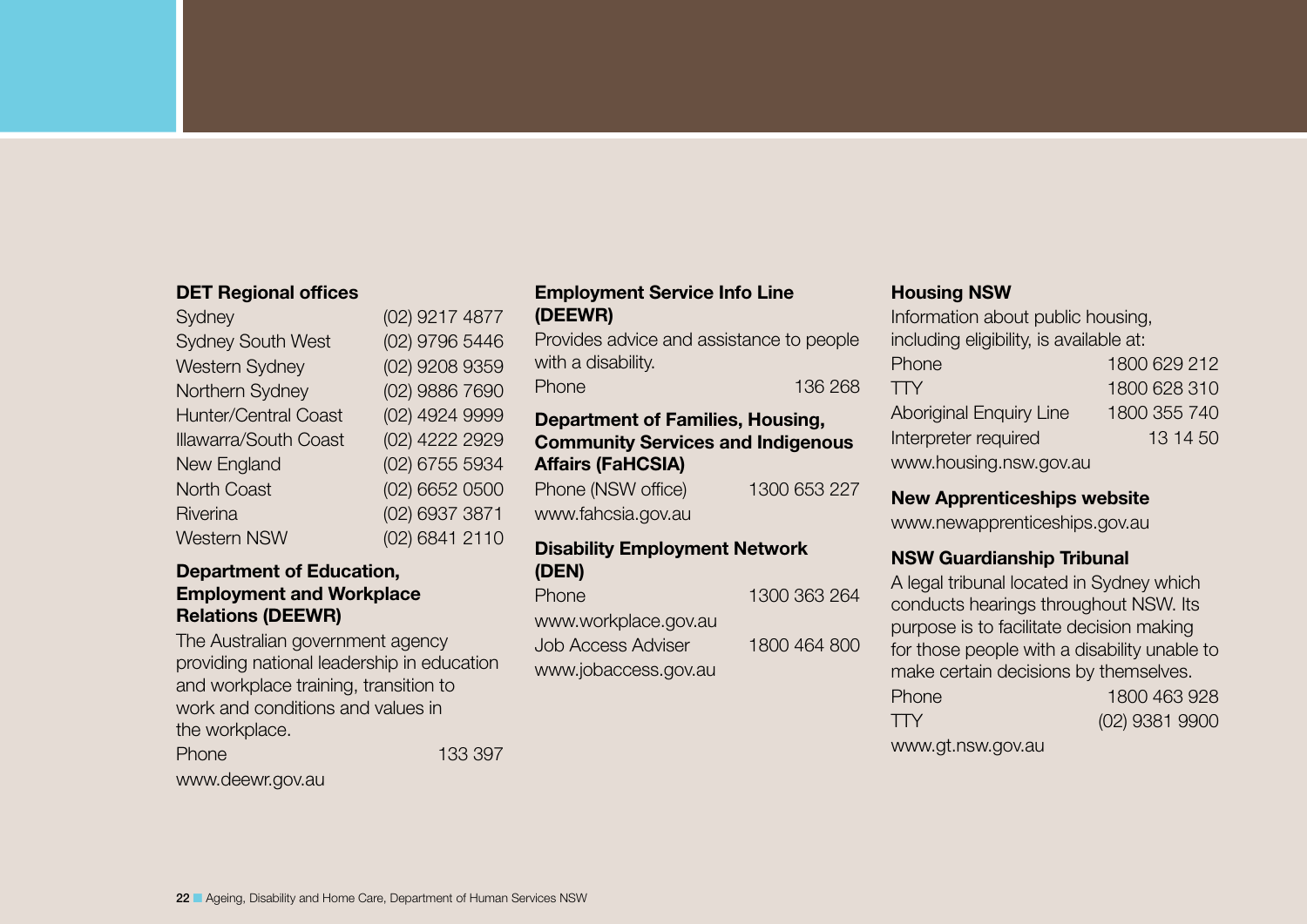### DET Regional offices

| Sydney                       | (02) 9217 4877 |
|------------------------------|----------------|
| <b>Sydney South West</b>     | (02) 9796 5446 |
| <b>Western Sydney</b>        | (02) 9208 9359 |
| Northern Sydney              | (02) 9886 7690 |
| <b>Hunter/Central Coast</b>  | (02) 4924 9999 |
| <b>Illawarra/South Coast</b> | (02) 4222 2929 |
| New England                  | (02) 6755 5934 |
| <b>North Coast</b>           | (02) 6652 0500 |
| Riverina                     | (02) 6937 3871 |
| <b>Western NSW</b>           | (02) 6841 2110 |
|                              |                |

### Department of Education, Employment and Workplace Relations (DEEWR)

The Australian government agency providing national leadership in education and workplace training, transition to work and conditions and values in the workplace.

Phone 133 397

www.deewr.gov.au

### Employment Service Info Line (DEEWR)

Provides advice and assistance to people with a disability. Phone 136 268

### Department of Families, Housing, Community Services and Indigenous Affairs (FaHCSIA)

Phone (NSW office) 1300 653 227 www.fahcsia.gov.au

### Disability Employment Network (DEN)

| <b>Phone</b>              | 1300 363 264 |
|---------------------------|--------------|
| www.workplace.gov.au      |              |
| <b>Job Access Adviser</b> | 1800 464 800 |
| www.jobaccess.gov.au      |              |

### Housing NSW

Information about public housing, including eligibility, is available at: Phone 1800 629 212 TTY 1800 628 310 Aboriginal Enquiry Line 1800 355 740 Interpreter required 13 14 50 www.housing.nsw.gov.au

### New Apprenticeships website

www.newapprenticeships.gov.au

### NSW Guardianship Tribunal

A legal tribunal located in Sydney which conducts hearings throughout NSW. Its purpose is to facilitate decision making for those people with a disability unable to make certain decisions by themselves. Phone 1800 463 928 TTY (02) 9381 9900

www.gt.nsw.gov.au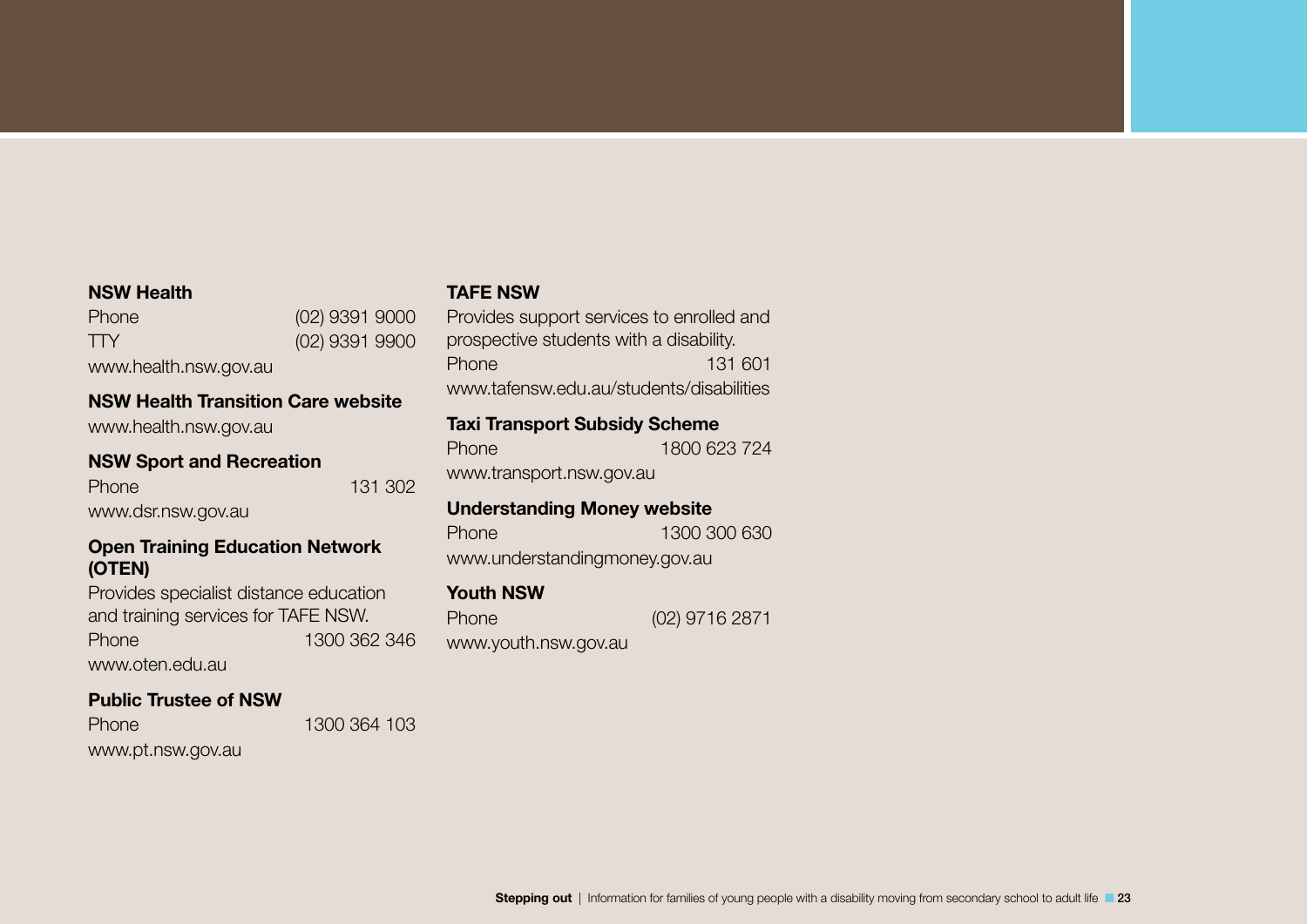### NSW Health

Phone (02) 9391 9000 TTY (02) 9391 9900

www.health.nsw.gov.au

### NSW Health Transition Care website

www.health.nsw.gov.au

### NSW Sport and Recreation

Phone 131 302 www.dsr.nsw.gov.au

### Open Training Education Network (OTEN)

Provides specialist distance education and training services for TAFE NSW. Phone 1300 362 346 www.oten.edu.au

### Public Trustee of NSW

Phone 1300 364 103 www.pt.nsw.gov.au

TAFE NSW

Provides support services to enrolled and prospective students with a disability. Phone 131 601 www.tafensw.edu.au/students/disabilities

### Taxi Transport Subsidy Scheme

Phone 1800 623 724 www.transport.nsw.gov.au

### Understanding Money website

www.understandingmoney.gov.au

### Youth NSW

Phone (02) 9716 2871 www.youth.nsw.gov.au

Phone 1300 300 630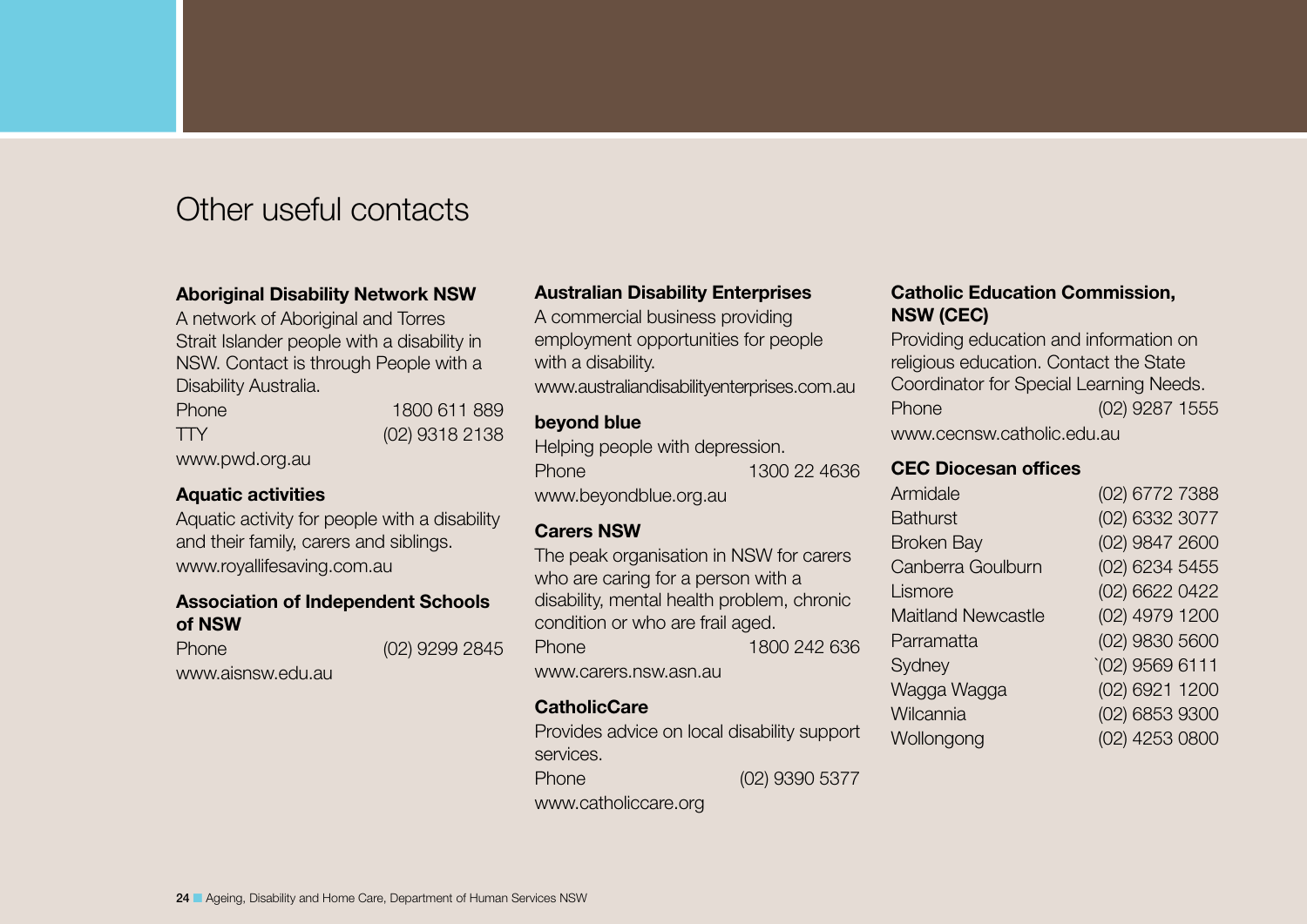## Other useful contacts

### Aboriginal Disability Network NSW

A network of Aboriginal and Torres Strait Islander people with a disability in NSW. Contact is through People with a Disability Australia.

Phone 1800 611 889 TTY (02) 9318 2138 www.pwd.org.au

### Aquatic activities

Aquatic activity for people with a disability and their family, carers and siblings. www.royallifesaving.com.au

### Association of Independent Schools of NSW

Phone (02) 9299 2845 www.aisnsw.edu.au

### Australian Disability Enterprises

A commercial business providing employment opportunities for people with a disability.

www.australiandisabilityenterprises.com.au

### beyond blue

Helping people with depression.

Phone 1300 22 4636 www.beyondblue.org.au

### Carers NSW

The peak organisation in NSW for carers who are caring for a person with a disability, mental health problem, chronic condition or who are frail aged. Phone 1800 242 636 www.carers.nsw.asn.au

### **CatholicCare**

Provides advice on local disability support services.

Phone (02) 9390 5377

www.catholiccare.org

### Catholic Education Commission, NSW (CEC)

Providing education and information on religious education. Contact the State Coordinator for Special Learning Needs. Phone (02) 9287 1555 www.cecnsw.catholic.edu.au

### CEC Diocesan offices

| Armidale                  | (02) 6772 7388   |
|---------------------------|------------------|
| <b>Bathurst</b>           | (02) 6332 3077   |
| <b>Broken Bay</b>         | (02) 9847 2600   |
| Canberra Goulburn         | (02) 6234 5455   |
| Lismore                   | (02) 6622 0422   |
| <b>Maitland Newcastle</b> | (02) 4979 1200   |
| Parramatta                | (02) 9830 5600   |
| Sydney                    | $(02)$ 9569 6111 |
| Wagga Wagga               | (02) 6921 1200   |
| Wilcannia                 | (02) 6853 9300   |
| Wollongong                | (02) 4253 0800   |
|                           |                  |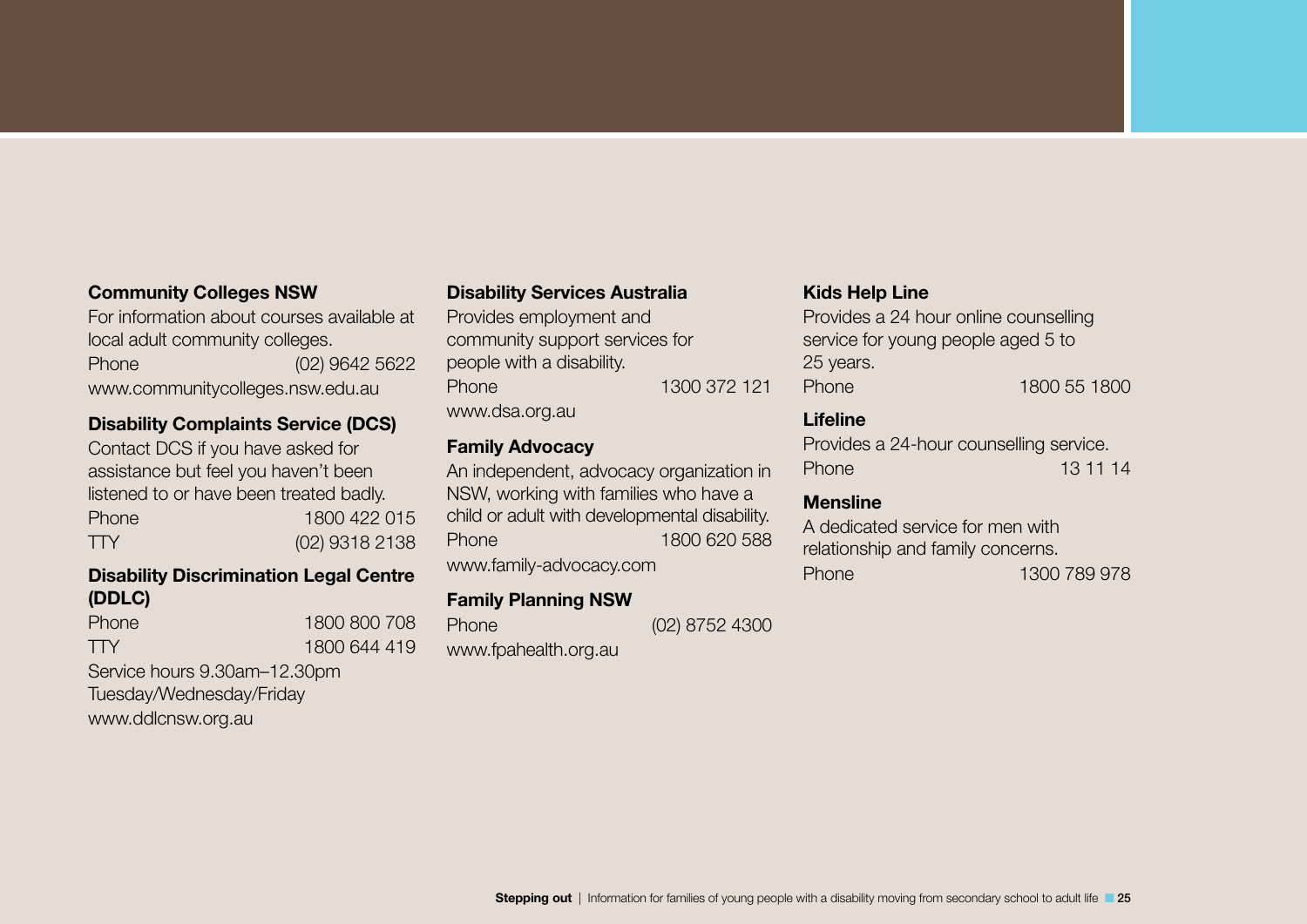### Community Colleges NSW

For information about courses available at local adult community colleges.

Phone (02) 9642 5622 www.communitycolleges.nsw.edu.au

### Disability Complaints Service (DCS)

Contact DCS if you have asked for assistance but feel you haven't been listened to or have been treated badly. Phone 1800 422 015 TTY (02) 9318 2138

### Disability Discrimination Legal Centre (DDLC)

| <b>Phone</b> | 1800 800 708 |
|--------------|--------------|
| <b>TTY</b>   | 1800 644 419 |
|              |              |

Service hours 9.30am–12.30pm Tuesday/Wednesday/Friday www.ddlcnsw.org.au

### Disability Services Australia

Provides employment and community support services for people with a disability. Phone 1300 372 121 www.dsa.org.au

### Family Advocacy

An independent, advocacy organization in NSW, working with families who have a child or adult with developmental disability. Phone 1800 620 588 www.family-advocacy.com

### Family Planning NSW

Phone (02) 8752 4300 www.fpahealth.org.au

### Kids Help Line

Provides a 24 hour online counselling service for young people aged 5 to 25 years. Phone 1800 55 1800

### Lifeline

Provides a 24-hour counselling service. Phone 13 11 14

### Mensline

A dedicated service for men with relationship and family concerns. Phone 1300 789 978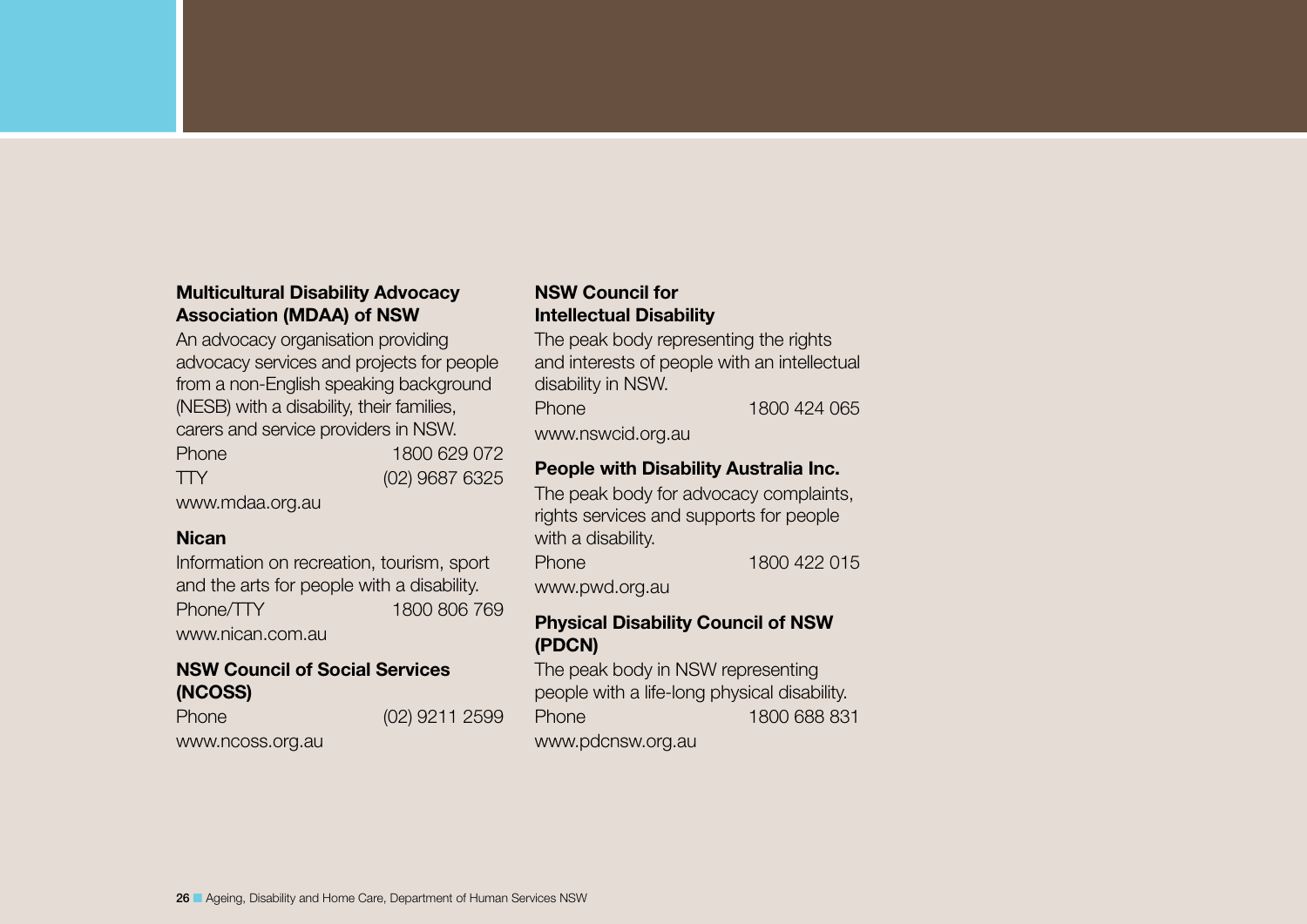### Multicultural Disability Advocacy Association (MDAA) of NSW

An advocacy organisation providing advocacy services and projects for people from a non-English speaking background (NESB) with a disability, their families, carers and service providers in NSW.

| <b>Phone</b> | 1800 629 072     |
|--------------|------------------|
| <b>TTY</b>   | $(02)$ 9687 6325 |
| $\mu$        |                  |

www.mdaa.org.au

### **Nican**

Information on recreation, tourism, sport and the arts for people with a disability. Phone/TTY 1800 806 769 www.nican.com.au

### NSW Council of Social Services (NCOSS)

Phone (02) 9211 2599

www.ncoss.org.au

### NSW Council for Intellectual Disability

The peak body representing the rights and interests of people with an intellectual disability in NSW.

Phone 1800 424 065

www.nswcid.org.au

### People with Disability Australia Inc.

The peak body for advocacy complaints, rights services and supports for people with a disability.

Phone 1800 422 015

www.pwd.org.au

### Physical Disability Council of NSW (PDCN)

The peak body in NSW representing people with a life-long physical disability. Phone 1800 688 831

www.pdcnsw.org.au

26 ■ Ageing, Disability and Home Care, Department of Human Services NSW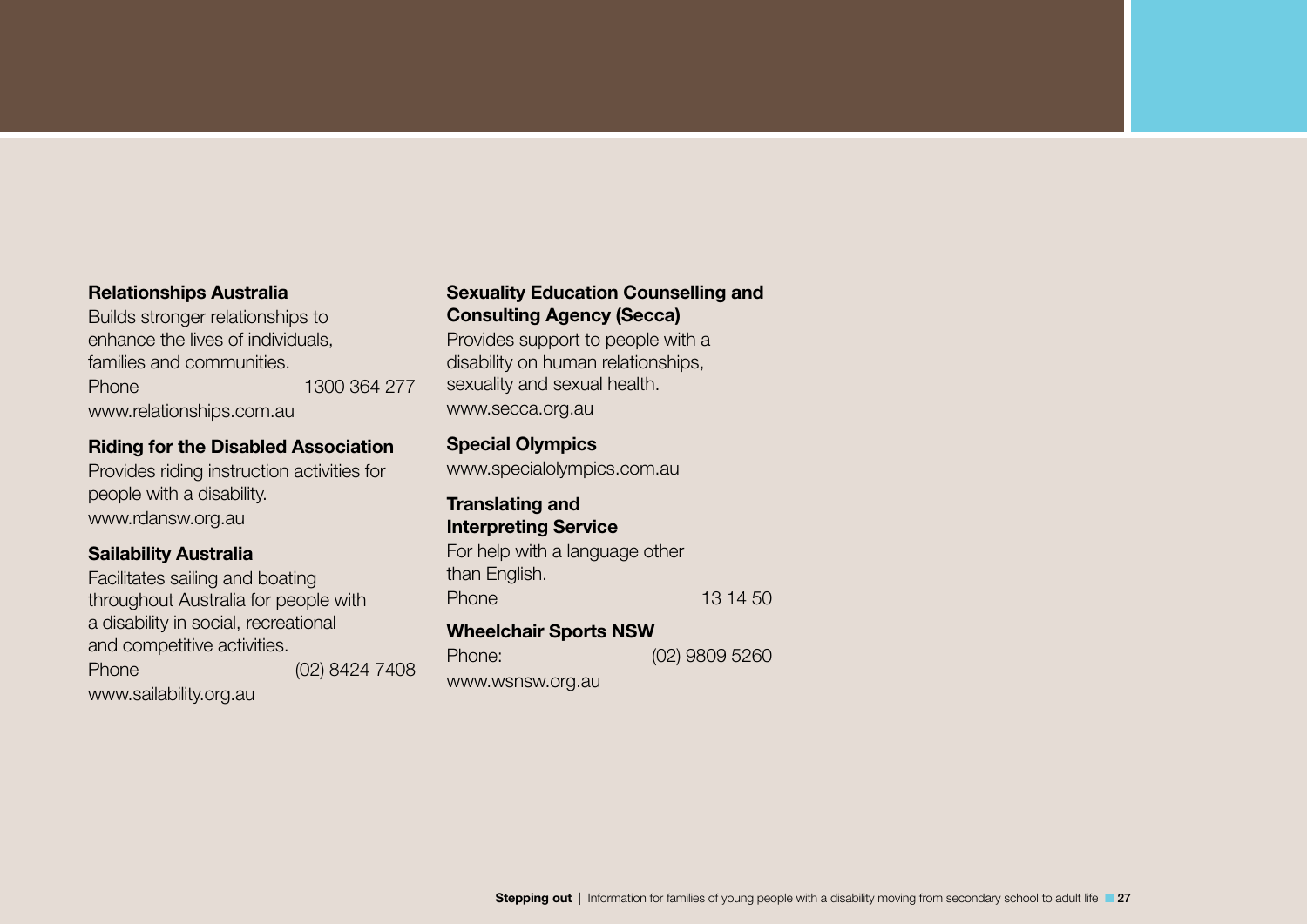### Relationships Australia

Builds stronger relationships to enhance the lives of individuals, families and communities. Phone 1300 364 277 www.relationships.com.au

### Riding for the Disabled Association

Provides riding instruction activities for people with a disability. www.rdansw.org.au

### Sailability Australia

Facilitates sailing and boating throughout Australia for people with a disability in social, recreational and competitive activities.

Phone (02) 8424 7408

www.sailability.org.au

### Sexuality Education Counselling and Consulting Agency (Secca)

Provides support to people with a disability on human relationships, sexuality and sexual health. www.secca.org.au

### Special Olympics

www.specialolympics.com.au

### Translating and Interpreting Service

For help with a language other than English. Phone 13 14 50

### Wheelchair Sports NSW

| Phone:           | $(02)$ 9809 5260 |
|------------------|------------------|
| www.wsnsw.org.au |                  |